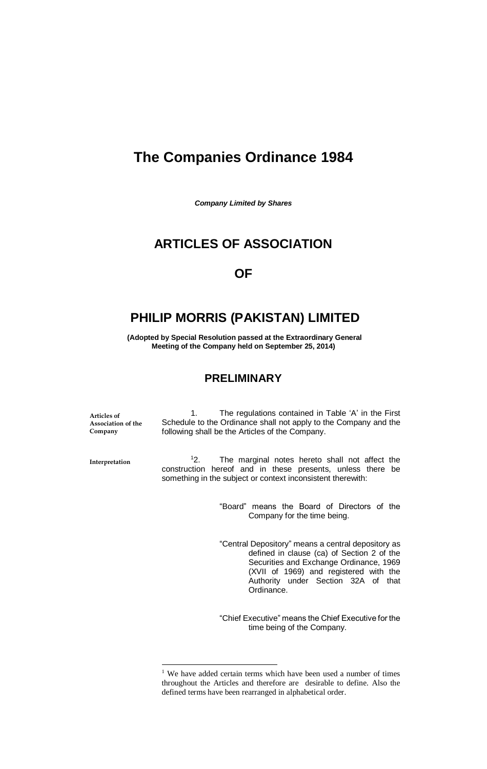# **The Companies Ordinance 1984**

*Company Limited by Shares*

## **ARTICLES OF ASSOCIATION**

## **OF**

## **PHILIP MORRIS (PAKISTAN) LIMITED**

**(Adopted by Special Resolution passed at the Extraordinary General Meeting of the Company held on September 25, 2014)**

## **PRELIMINARY**

**Articles of Association of the Company**

1. The regulations contained in Table 'A' in the First Schedule to the Ordinance shall not apply to the Company and the following shall be the Articles of the Company.

**Interpretation**

 $\overline{a}$ 

<sup>1</sup>2. The marginal notes hereto shall not affect the construction hereof and in these presents, unless there be something in the subject or context inconsistent therewith:

> "Board" means the Board of Directors of the Company for the time being.

> "Central Depository" means a central depository as defined in clause (ca) of Section 2 of the Securities and Exchange Ordinance, 1969 (XVII of 1969) and registered with the Authority under Section 32A of that Ordinance.

> "Chief Executive" means the Chief Executive for the time being of the Company.

 $1$  We have added certain terms which have been used a number of times throughout the Articles and therefore are desirable to define. Also the defined terms have been rearranged in alphabetical order.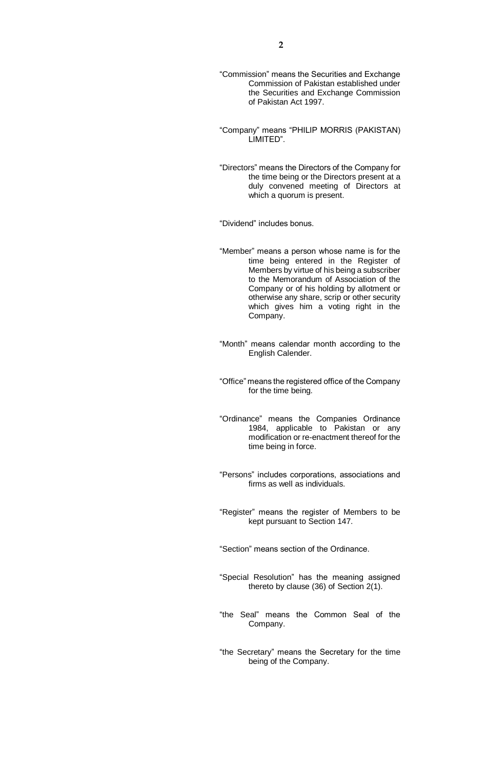- "Commission" means the Securities and Exchange Commission of Pakistan established under the Securities and Exchange Commission of Pakistan Act 1997.
- "Company" means "PHILIP MORRIS (PAKISTAN) LIMITED".
- "Directors" means the Directors of the Company for the time being or the Directors present at a duly convened meeting of Directors at which a quorum is present.

"Dividend" includes bonus.

- "Member" means a person whose name is for the time being entered in the Register of Members by virtue of his being a subscriber to the Memorandum of Association of the Company or of his holding by allotment or otherwise any share, scrip or other security which gives him a voting right in the Company.
- "Month" means calendar month according to the English Calender.
- "Office" means the registered office of the Company for the time being.
- "Ordinance" means the Companies Ordinance 1984, applicable to Pakistan or any modification or re-enactment thereof for the time being in force.
- "Persons" includes corporations, associations and firms as well as individuals.
- "Register" means the register of Members to be kept pursuant to Section 147.
- "Section" means section of the Ordinance.
- "Special Resolution" has the meaning assigned thereto by clause (36) of Section 2(1).
- "the Seal" means the Common Seal of the Company.
- "the Secretary" means the Secretary for the time being of the Company.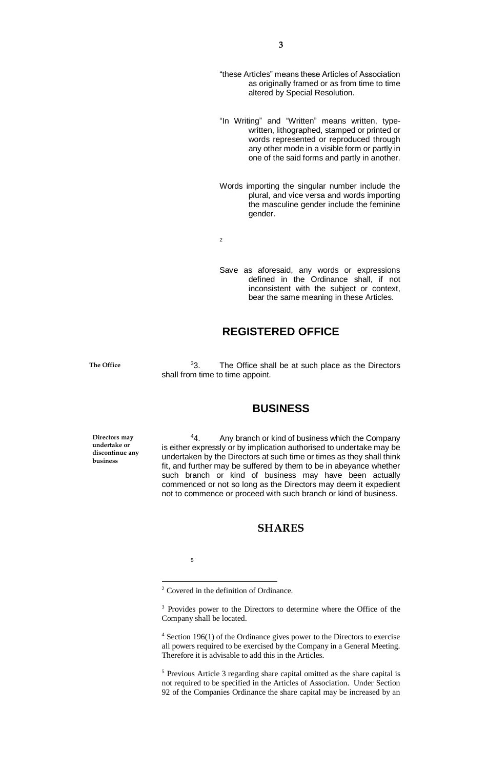- "these Articles" means these Articles of Association as originally framed or as from time to time altered by Special Resolution.
- "In Writing" and "Written" means written, typewritten, lithographed, stamped or printed or words represented or reproduced through any other mode in a visible form or partly in one of the said forms and partly in another.
- Words importing the singular number include the plural, and vice versa and words importing the masculine gender include the feminine gender.

2

Save as aforesaid, any words or expressions defined in the Ordinance shall, if not inconsistent with the subject or context, bear the same meaning in these Articles.

## **REGISTERED OFFICE**

**The Office**

<sup>3</sup>3. The Office shall be at such place as the Directors shall from time to time appoint.

## **BUSINESS**

**Directors may undertake or discontinue any business**

<sup>4</sup>4. Any branch or kind of business which the Company is either expressly or by implication authorised to undertake may be undertaken by the Directors at such time or times as they shall think fit, and further may be suffered by them to be in abeyance whether such branch or kind of business may have been actually commenced or not so long as the Directors may deem it expedient not to commence or proceed with such branch or kind of business.

## **SHARES**

5

 $\overline{a}$ 

<sup>4</sup> Section 196(1) of the Ordinance gives power to the Directors to exercise all powers required to be exercised by the Company in a General Meeting. Therefore it is advisable to add this in the Articles.

<sup>5</sup> Previous Article 3 regarding share capital omitted as the share capital is not required to be specified in the Articles of Association. Under Section 92 of the Companies Ordinance the share capital may be increased by an

<sup>2</sup> Covered in the definition of Ordinance.

<sup>&</sup>lt;sup>3</sup> Provides power to the Directors to determine where the Office of the Company shall be located.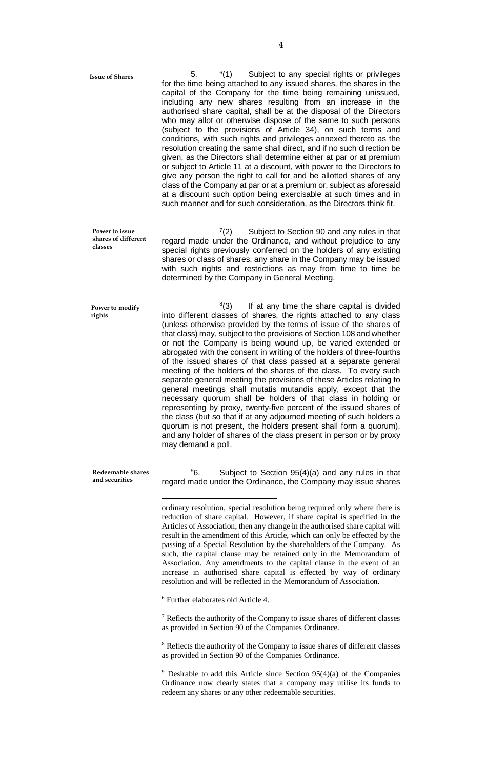**Issue of Shares** 

5.  $^{6}(1)$ Subject to any special rights or privileges for the time being attached to any issued shares, the shares in the capital of the Company for the time being remaining unissued, including any new shares resulting from an increase in the authorised share capital, shall be at the disposal of the Directors who may allot or otherwise dispose of the same to such persons (subject to the provisions of Article 34), on such terms and conditions, with such rights and privileges annexed thereto as the resolution creating the same shall direct, and if no such direction be given, as the Directors shall determine either at par or at premium or subject to Article 11 at a discount, with power to the Directors to give any person the right to call for and be allotted shares of any class of the Company at par or at a premium or, subject as aforesaid at a discount such option being exercisable at such times and in such manner and for such consideration, as the Directors think fit.

 $(2)$ Subject to Section 90 and any rules in that regard made under the Ordinance, and without prejudice to any special rights previously conferred on the holders of any existing shares or class of shares, any share in the Company may be issued with such rights and restrictions as may from time to time be determined by the Company in General Meeting. **Power to issue shares of different classes**

 $^{8}(3)$ If at any time the share capital is divided into different classes of shares, the rights attached to any class (unless otherwise provided by the terms of issue of the shares of that class) may, subject to the provisions of Section 108 and whether or not the Company is being wound up, be varied extended or abrogated with the consent in writing of the holders of three-fourths of the issued shares of that class passed at a separate general meeting of the holders of the shares of the class. To every such separate general meeting the provisions of these Articles relating to general meetings shall mutatis mutandis apply, except that the necessary quorum shall be holders of that class in holding or representing by proxy, twenty-five percent of the issued shares of the class (but so that if at any adjourned meeting of such holders a quorum is not present, the holders present shall form a quorum), and any holder of shares of the class present in person or by proxy may demand a poll. **Power to modify rights**

> $96.$  Subject to Section  $95(4)(a)$  and any rules in that regard made under the Ordinance, the Company may issue shares

> ordinary resolution, special resolution being required only where there is reduction of share capital. However, if share capital is specified in the Articles of Association, then any change in the authorised share capital will result in the amendment of this Article, which can only be effected by the passing of a Special Resolution by the shareholders of the Company. As such, the capital clause may be retained only in the Memorandum of Association. Any amendments to the capital clause in the event of an increase in authorised share capital is effected by way of ordinary resolution and will be reflected in the Memorandum of Association.

<sup>6</sup> Further elaborates old Article 4.

 $\overline{a}$ 

**Redeemable shares and securities**

> <sup>7</sup> Reflects the authority of the Company to issue shares of different classes as provided in Section 90 of the Companies Ordinance.

> <sup>8</sup> Reflects the authority of the Company to issue shares of different classes as provided in Section 90 of the Companies Ordinance.

> $9$  Desirable to add this Article since Section 95(4)(a) of the Companies Ordinance now clearly states that a company may utilise its funds to redeem any shares or any other redeemable securities.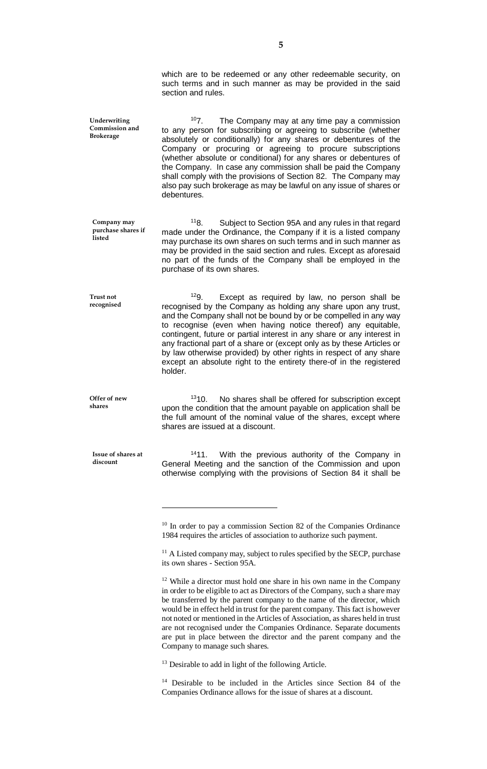which are to be redeemed or any other redeemable security, on such terms and in such manner as may be provided in the said section and rules.

 $107.$  The Company may at any time pay a commission to any person for subscribing or agreeing to subscribe (whether absolutely or conditionally) for any shares or debentures of the Company or procuring or agreeing to procure subscriptions (whether absolute or conditional) for any shares or debentures of the Company. In case any commission shall be paid the Company shall comply with the provisions of Section 82. The Company may also pay such brokerage as may be lawful on any issue of shares or debentures. **Underwriting Commission and Brokerage**

> <sup>11</sup>8. Subject to Section 95A and any rules in that regard made under the Ordinance, the Company if it is a listed company may purchase its own shares on such terms and in such manner as may be provided in the said section and rules. Except as aforesaid no part of the funds of the Company shall be employed in the purchase of its own shares.

 $129.$  Except as required by law, no person shall be recognised by the Company as holding any share upon any trust, and the Company shall not be bound by or be compelled in any way to recognise (even when having notice thereof) any equitable, contingent, future or partial interest in any share or any interest in any fractional part of a share or (except only as by these Articles or by law otherwise provided) by other rights in respect of any share except an absolute right to the entirety there-of in the registered holder.

<sup>13</sup>10. No shares shall be offered for subscription except upon the condition that the amount payable on application shall be the full amount of the nominal value of the shares, except where shares are issued at a discount.

<sup>14</sup>11. With the previous authority of the Company in General Meeting and the sanction of the Commission and upon otherwise complying with the provisions of Section 84 it shall be

 $10$  In order to pay a commission Section 82 of the Companies Ordinance 1984 requires the articles of association to authorize such payment.

<sup>11</sup> A Listed company may, subject to rules specified by the SECP, purchase its own shares - Section 95A.

<sup>12</sup> While a director must hold one share in his own name in the Company in order to be eligible to act as Directors of the Company, such a share may be transferred by the parent company to the name of the director, which would be in effect held in trust for the parent company. This fact is however not noted or mentioned in the Articles of Association, as shares held in trust are not recognised under the Companies Ordinance. Separate documents are put in place between the director and the parent company and the Company to manage such shares.

<sup>13</sup> Desirable to add in light of the following Article.

<sup>14</sup> Desirable to be included in the Articles since Section 84 of the Companies Ordinance allows for the issue of shares at a discount.

**Offer of new shares**

**Company may purchase shares if** 

**listed** 

**Trust not recognised**

> **Issue of shares at discount**

> > $\overline{a}$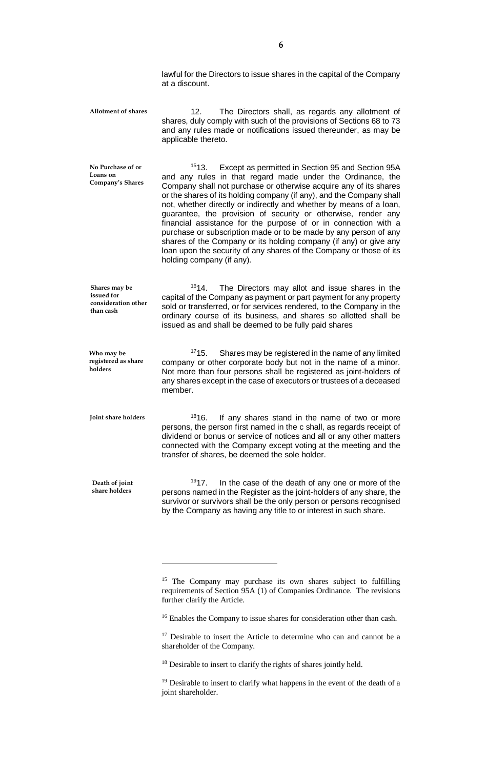lawful for the Directors to issue shares in the capital of the Company at a discount.

12. The Directors shall, as regards any allotment of shares, duly comply with such of the provisions of Sections 68 to 73 and any rules made or notifications issued thereunder, as may be applicable thereto. **Allotment of shares**

<sup>15</sup>13. Except as permitted in Section 95 and Section 95A and any rules in that regard made under the Ordinance, the Company shall not purchase or otherwise acquire any of its shares or the shares of its holding company (if any), and the Company shall not, whether directly or indirectly and whether by means of a loan, guarantee, the provision of security or otherwise, render any financial assistance for the purpose of or in connection with a purchase or subscription made or to be made by any person of any shares of the Company or its holding company (if any) or give any loan upon the security of any shares of the Company or those of its holding company (if any). **No Purchase of or Loans on Company's Shares**

<sup>16</sup>14. The Directors may allot and issue shares in the capital of the Company as payment or part payment for any property sold or transferred, or for services rendered, to the Company in the ordinary course of its business, and shares so allotted shall be issued as and shall be deemed to be fully paid shares **Shares may be issued for consideration other than cash**

 $1715.$  Shares may be registered in the name of any limited company or other corporate body but not in the name of a minor. Not more than four persons shall be registered as joint-holders of any shares except in the case of executors or trustees of a deceased member. **Who may be registered as share** 

**Joint share holders**

**Death of joint share holders**

**holders**

 $\overline{a}$ 

<sup>18</sup>16. If any shares stand in the name of two or more persons, the person first named in the c shall, as regards receipt of dividend or bonus or service of notices and all or any other matters connected with the Company except voting at the meeting and the transfer of shares, be deemed the sole holder.

 $1917$ . In the case of the death of any one or more of the persons named in the Register as the joint-holders of any share, the survivor or survivors shall be the only person or persons recognised by the Company as having any title to or interest in such share.

<sup>16</sup> Enables the Company to issue shares for consideration other than cash.

<sup>17</sup> Desirable to insert the Article to determine who can and cannot be a shareholder of the Company.

<sup>18</sup> Desirable to insert to clarify the rights of shares jointly held.

<sup>19</sup> Desirable to insert to clarify what happens in the event of the death of a joint shareholder.

<sup>&</sup>lt;sup>15</sup> The Company may purchase its own shares subject to fulfilling requirements of Section 95A (1) of Companies Ordinance. The revisions further clarify the Article.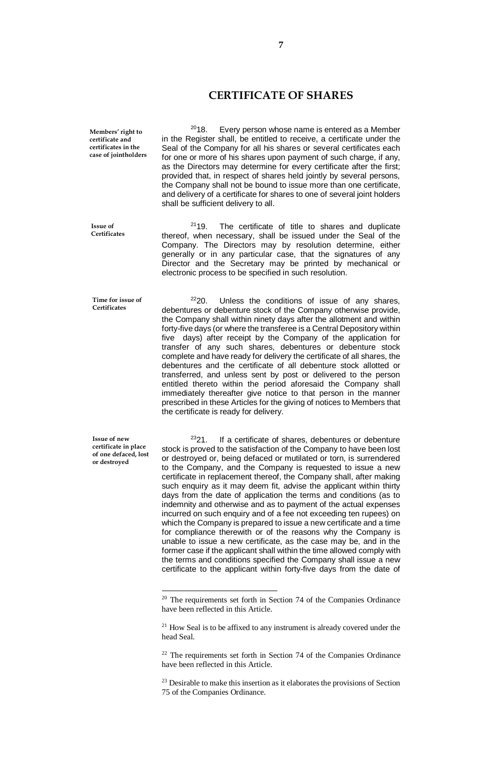#### **CERTIFICATE OF SHARES**

**Members' right to certificate and certificates in the case of jointholders**

 $2018.$  Every person whose name is entered as a Member in the Register shall, be entitled to receive, a certificate under the Seal of the Company for all his shares or several certificates each for one or more of his shares upon payment of such charge, if any, as the Directors may determine for every certificate after the first; provided that, in respect of shares held jointly by several persons, the Company shall not be bound to issue more than one certificate, and delivery of a certificate for shares to one of several joint holders shall be sufficient delivery to all.

 $2119$ . The certificate of title to shares and duplicate thereof, when necessary, shall be issued under the Seal of the Company. The Directors may by resolution determine, either generally or in any particular case, that the signatures of any Director and the Secretary may be printed by mechanical or electronic process to be specified in such resolution.

**Time for issue of Certificates**

**Issue of Certificates**

> $2220$ . Unless the conditions of issue of any shares, debentures or debenture stock of the Company otherwise provide, the Company shall within ninety days after the allotment and within forty-five days (or where the transferee is a Central Depository within five days) after receipt by the Company of the application for transfer of any such shares, debentures or debenture stock complete and have ready for delivery the certificate of all shares, the debentures and the certificate of all debenture stock allotted or transferred, and unless sent by post or delivered to the person entitled thereto within the period aforesaid the Company shall immediately thereafter give notice to that person in the manner prescribed in these Articles for the giving of notices to Members that the certificate is ready for delivery.

**Issue of new certificate in place of one defaced, lost or destroyed**

 $\overline{a}$ 

 $2321$ . If a certificate of shares, debentures or debenture stock is proved to the satisfaction of the Company to have been lost or destroyed or, being defaced or mutilated or torn, is surrendered to the Company, and the Company is requested to issue a new certificate in replacement thereof, the Company shall, after making such enquiry as it may deem fit, advise the applicant within thirty days from the date of application the terms and conditions (as to indemnity and otherwise and as to payment of the actual expenses incurred on such enquiry and of a fee not exceeding ten rupees) on which the Company is prepared to issue a new certificate and a time for compliance therewith or of the reasons why the Company is unable to issue a new certificate, as the case may be, and in the former case if the applicant shall within the time allowed comply with the terms and conditions specified the Company shall issue a new certificate to the applicant within forty-five days from the date of

<sup>&</sup>lt;sup>20</sup> The requirements set forth in Section 74 of the Companies Ordinance have been reflected in this Article.

<sup>&</sup>lt;sup>21</sup> How Seal is to be affixed to any instrument is already covered under the head Seal.

 $22$  The requirements set forth in Section 74 of the Companies Ordinance have been reflected in this Article.

 $23$  Desirable to make this insertion as it elaborates the provisions of Section 75 of the Companies Ordinance.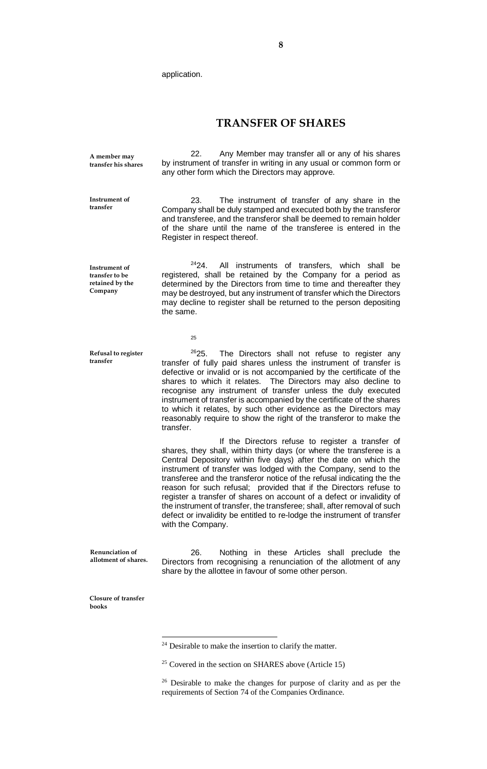application.

#### **TRANSFER OF SHARES**

**A member may transfer his shares**

**Instrument of transfer**

22. Any Member may transfer all or any of his shares by instrument of transfer in writing in any usual or common form or any other form which the Directors may approve.

23. The instrument of transfer of any share in the Company shall be duly stamped and executed both by the transferor and transferee, and the transferor shall be deemed to remain holder of the share until the name of the transferee is entered in the Register in respect thereof.

**Instrument of transfer to be retained by the Company**

<sup>24</sup>24. All instruments of transfers, which shall be registered, shall be retained by the Company for a period as determined by the Directors from time to time and thereafter they may be destroyed, but any instrument of transfer which the Directors may decline to register shall be returned to the person depositing the same.

25

**Refusal to register transfer**

 $2625$ . The Directors shall not refuse to register any transfer of fully paid shares unless the instrument of transfer is defective or invalid or is not accompanied by the certificate of the shares to which it relates. The Directors may also decline to recognise any instrument of transfer unless the duly executed instrument of transfer is accompanied by the certificate of the shares to which it relates, by such other evidence as the Directors may reasonably require to show the right of the transferor to make the transfer.

If the Directors refuse to register a transfer of shares, they shall, within thirty days (or where the transferee is a Central Depository within five days) after the date on which the instrument of transfer was lodged with the Company, send to the transferee and the transferor notice of the refusal indicating the the reason for such refusal; provided that if the Directors refuse to register a transfer of shares on account of a defect or invalidity of the instrument of transfer, the transferee; shall, after removal of such defect or invalidity be entitled to re-lodge the instrument of transfer with the Company.

26. Nothing in these Articles shall preclude the Directors from recognising a renunciation of the allotment of any share by the allottee in favour of some other person. **Renunciation of allotment of shares.**

**Closure of transfer books**

 $\overline{a}$ 

<sup>&</sup>lt;sup>24</sup> Desirable to make the insertion to clarify the matter.

 $25$  Covered in the section on SHARES above (Article 15)

<sup>&</sup>lt;sup>26</sup> Desirable to make the changes for purpose of clarity and as per the requirements of Section 74 of the Companies Ordinance.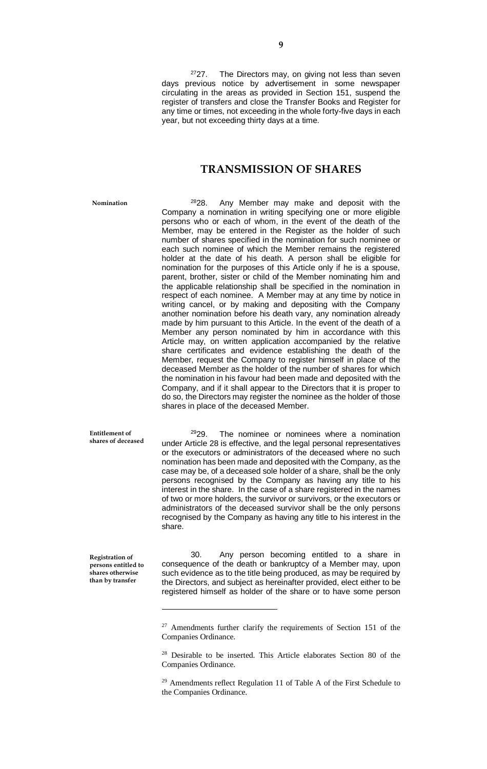$2727$ . The Directors may, on giving not less than seven days previous notice by advertisement in some newspaper circulating in the areas as provided in Section 151, suspend the register of transfers and close the Transfer Books and Register for any time or times, not exceeding in the whole forty-five days in each year, but not exceeding thirty days at a time.

#### **TRANSMISSION OF SHARES**

**Nomination**

 $2828$ . Any Member may make and deposit with the Company a nomination in writing specifying one or more eligible persons who or each of whom, in the event of the death of the Member, may be entered in the Register as the holder of such number of shares specified in the nomination for such nominee or each such nominee of which the Member remains the registered holder at the date of his death. A person shall be eligible for nomination for the purposes of this Article only if he is a spouse, parent, brother, sister or child of the Member nominating him and the applicable relationship shall be specified in the nomination in respect of each nominee. A Member may at any time by notice in writing cancel, or by making and depositing with the Company another nomination before his death vary, any nomination already made by him pursuant to this Article. In the event of the death of a Member any person nominated by him in accordance with this Article may, on written application accompanied by the relative share certificates and evidence establishing the death of the Member, request the Company to register himself in place of the deceased Member as the holder of the number of shares for which the nomination in his favour had been made and deposited with the Company, and if it shall appear to the Directors that it is proper to do so, the Directors may register the nominee as the holder of those shares in place of the deceased Member.

**Entitlement of shares of deceased**

 $2929.$  The nominee or nominees where a nomination under Article 28 is effective, and the legal personal representatives or the executors or administrators of the deceased where no such nomination has been made and deposited with the Company, as the case may be, of a deceased sole holder of a share, shall be the only persons recognised by the Company as having any title to his interest in the share. In the case of a share registered in the names of two or more holders, the survivor or survivors, or the executors or administrators of the deceased survivor shall be the only persons recognised by the Company as having any title to his interest in the share.

**Registration of persons entitled to shares otherwise than by transfer**

 $\overline{a}$ 

30. Any person becoming entitled to a share in consequence of the death or bankruptcy of a Member may, upon such evidence as to the title being produced, as may be required by the Directors, and subject as hereinafter provided, elect either to be registered himself as holder of the share or to have some person

<sup>&</sup>lt;sup>27</sup> Amendments further clarify the requirements of Section 151 of the Companies Ordinance.

<sup>28</sup> Desirable to be inserted. This Article elaborates Section 80 of the Companies Ordinance.

<sup>&</sup>lt;sup>29</sup> Amendments reflect Regulation 11 of Table A of the First Schedule to the Companies Ordinance.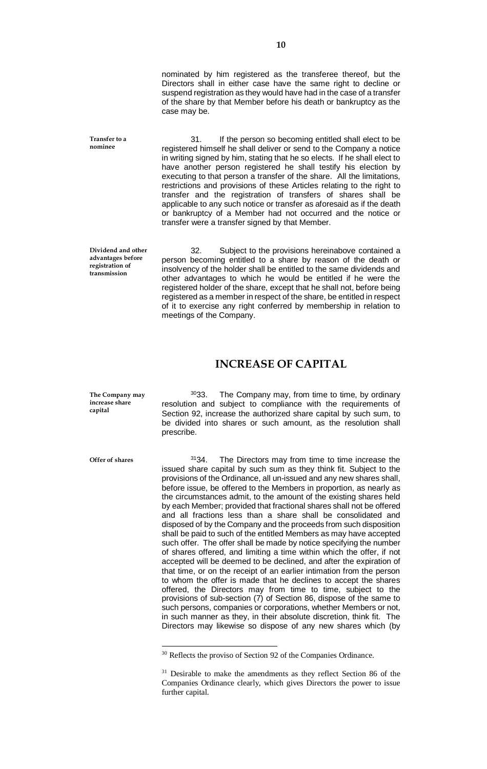nominated by him registered as the transferee thereof, but the Directors shall in either case have the same right to decline or suspend registration as they would have had in the case of a transfer of the share by that Member before his death or bankruptcy as the case may be.

31. If the person so becoming entitled shall elect to be registered himself he shall deliver or send to the Company a notice in writing signed by him, stating that he so elects. If he shall elect to have another person registered he shall testify his election by executing to that person a transfer of the share. All the limitations, restrictions and provisions of these Articles relating to the right to transfer and the registration of transfers of shares shall be applicable to any such notice or transfer as aforesaid as if the death or bankruptcy of a Member had not occurred and the notice or transfer were a transfer signed by that Member.

**Dividend and other advantages before registration of transmission**

**Transfer to a nominee**

> 32. Subject to the provisions hereinabove contained a person becoming entitled to a share by reason of the death or insolvency of the holder shall be entitled to the same dividends and other advantages to which he would be entitled if he were the registered holder of the share, except that he shall not, before being registered as a member in respect of the share, be entitled in respect of it to exercise any right conferred by membership in relation to meetings of the Company.

### **INCREASE OF CAPITAL**

**The Company may increase share capital**

3033. The Company may, from time to time, by ordinary resolution and subject to compliance with the requirements of Section 92, increase the authorized share capital by such sum, to be divided into shares or such amount, as the resolution shall prescribe.

**Offer of shares**

 $\overline{a}$ 

 $3134.$  The Directors may from time to time increase the issued share capital by such sum as they think fit. Subject to the provisions of the Ordinance, all un-issued and any new shares shall, before issue, be offered to the Members in proportion, as nearly as the circumstances admit, to the amount of the existing shares held by each Member; provided that fractional shares shall not be offered and all fractions less than a share shall be consolidated and disposed of by the Company and the proceeds from such disposition shall be paid to such of the entitled Members as may have accepted such offer. The offer shall be made by notice specifying the number of shares offered, and limiting a time within which the offer, if not accepted will be deemed to be declined, and after the expiration of that time, or on the receipt of an earlier intimation from the person to whom the offer is made that he declines to accept the shares offered, the Directors may from time to time, subject to the provisions of sub-section (7) of Section 86, dispose of the same to such persons, companies or corporations, whether Members or not, in such manner as they, in their absolute discretion, think fit. The Directors may likewise so dispose of any new shares which (by

<sup>&</sup>lt;sup>30</sup> Reflects the proviso of Section 92 of the Companies Ordinance.

<sup>&</sup>lt;sup>31</sup> Desirable to make the amendments as they reflect Section 86 of the Companies Ordinance clearly, which gives Directors the power to issue further capital.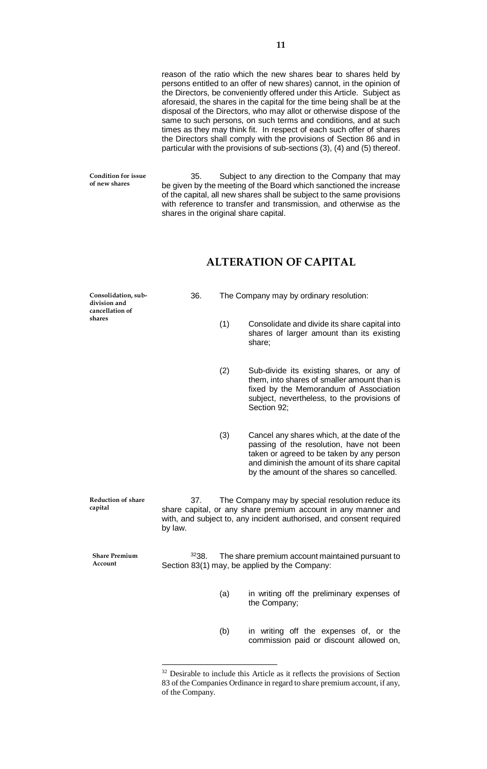reason of the ratio which the new shares bear to shares held by persons entitled to an offer of new shares) cannot, in the opinion of the Directors, be conveniently offered under this Article. Subject as aforesaid, the shares in the capital for the time being shall be at the disposal of the Directors, who may allot or otherwise dispose of the same to such persons, on such terms and conditions, and at such times as they may think fit. In respect of each such offer of shares the Directors shall comply with the provisions of Section 86 and in particular with the provisions of sub-sections (3), (4) and (5) thereof.

**Condition for issue of new shares**

35. Subject to any direction to the Company that may be given by the meeting of the Board which sanctioned the increase of the capital, all new shares shall be subject to the same provisions with reference to transfer and transmission, and otherwise as the shares in the original share capital.

## **ALTERATION OF CAPITAL**

**Consolidation, subdivision and cancellation of shares**

36. The Company may by ordinary resolution:

- (1) Consolidate and divide its share capital into shares of larger amount than its existing share;
- (2) Sub-divide its existing shares, or any of them, into shares of smaller amount than is fixed by the Memorandum of Association subject, nevertheless, to the provisions of Section 92:
- (3) Cancel any shares which, at the date of the passing of the resolution, have not been taken or agreed to be taken by any person and diminish the amount of its share capital by the amount of the shares so cancelled.

37. The Company may by special resolution reduce its share capital, or any share premium account in any manner and with, and subject to, any incident authorised, and consent required by law. **Reduction of share** 

**Share Premium Account**

**capital**

 $\overline{a}$ 

 $3238.$  The share premium account maintained pursuant to Section 83(1) may, be applied by the Company:

- (a) in writing off the preliminary expenses of the Company;
- (b) in writing off the expenses of, or the commission paid or discount allowed on,

<sup>&</sup>lt;sup>32</sup> Desirable to include this Article as it reflects the provisions of Section 83 of the Companies Ordinance in regard to share premium account, if any, of the Company.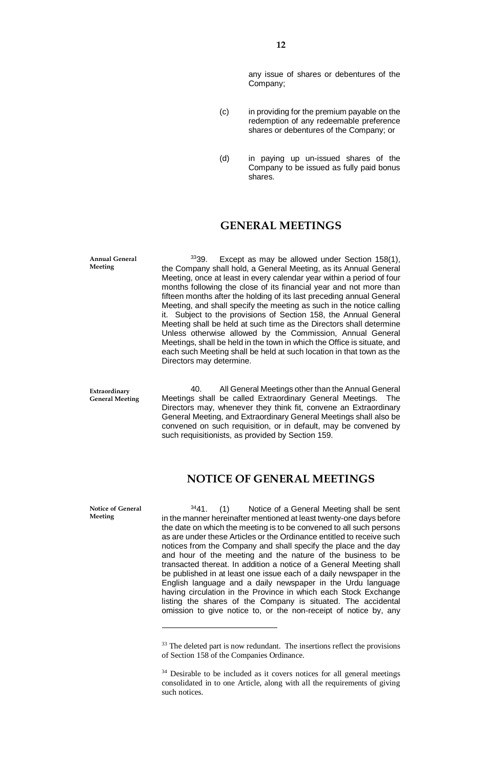any issue of shares or debentures of the Company;

- (c) in providing for the premium payable on the redemption of any redeemable preference shares or debentures of the Company; or
- (d) in paying up un-issued shares of the Company to be issued as fully paid bonus shares.

## **GENERAL MEETINGS**

 $3339.$  Except as may be allowed under Section 158(1), the Company shall hold, a General Meeting, as its Annual General Meeting, once at least in every calendar year within a period of four months following the close of its financial year and not more than fifteen months after the holding of its last preceding annual General Meeting, and shall specify the meeting as such in the notice calling it. Subject to the provisions of Section 158, the Annual General Meeting shall be held at such time as the Directors shall determine Unless otherwise allowed by the Commission, Annual General Meetings, shall be held in the town in which the Office is situate, and each such Meeting shall be held at such location in that town as the Directors may determine.

40. All General Meetings other than the Annual General Meetings shall be called Extraordinary General Meetings. The Directors may, whenever they think fit, convene an Extraordinary General Meeting, and Extraordinary General Meetings shall also be convened on such requisition, or in default, may be convened by such requisitionists, as provided by Section 159.

## **NOTICE OF GENERAL MEETINGS**

**Notice of General Meeting**

 $\overline{a}$ 

 $3441.$  (1) Notice of a General Meeting shall be sent in the manner hereinafter mentioned at least twenty-one days before the date on which the meeting is to be convened to all such persons as are under these Articles or the Ordinance entitled to receive such notices from the Company and shall specify the place and the day and hour of the meeting and the nature of the business to be transacted thereat. In addition a notice of a General Meeting shall be published in at least one issue each of a daily newspaper in the English language and a daily newspaper in the Urdu language having circulation in the Province in which each Stock Exchange listing the shares of the Company is situated. The accidental omission to give notice to, or the non-receipt of notice by, any

**Annual General Meeting**

**Extraordinary General Meeting**

 $33$  The deleted part is now redundant. The insertions reflect the provisions of Section 158 of the Companies Ordinance.

<sup>&</sup>lt;sup>34</sup> Desirable to be included as it covers notices for all general meetings consolidated in to one Article, along with all the requirements of giving such notices.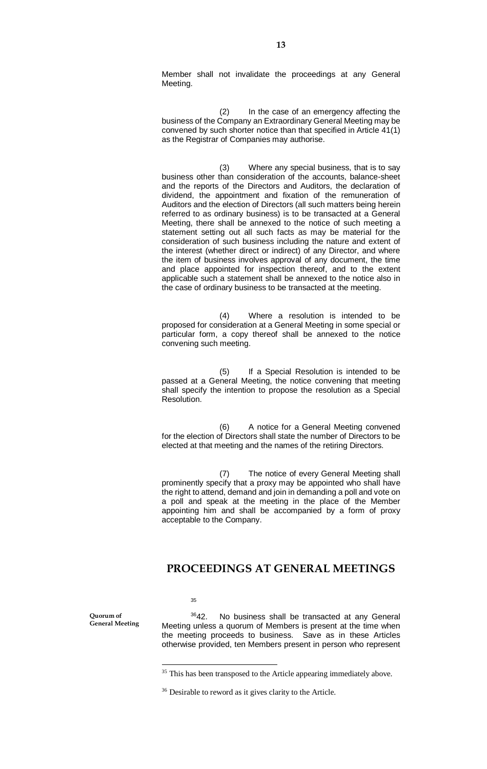Member shall not invalidate the proceedings at any General Meeting.

(2) In the case of an emergency affecting the business of the Company an Extraordinary General Meeting may be convened by such shorter notice than that specified in Article 41(1) as the Registrar of Companies may authorise.

(3) Where any special business, that is to say business other than consideration of the accounts, balance-sheet and the reports of the Directors and Auditors, the declaration of dividend, the appointment and fixation of the remuneration of Auditors and the election of Directors (all such matters being herein referred to as ordinary business) is to be transacted at a General Meeting, there shall be annexed to the notice of such meeting a statement setting out all such facts as may be material for the consideration of such business including the nature and extent of the interest (whether direct or indirect) of any Director, and where the item of business involves approval of any document, the time and place appointed for inspection thereof, and to the extent applicable such a statement shall be annexed to the notice also in the case of ordinary business to be transacted at the meeting.

(4) Where a resolution is intended to be proposed for consideration at a General Meeting in some special or particular form, a copy thereof shall be annexed to the notice convening such meeting.

(5) If a Special Resolution is intended to be passed at a General Meeting, the notice convening that meeting shall specify the intention to propose the resolution as a Special Resolution.

(6) A notice for a General Meeting convened for the election of Directors shall state the number of Directors to be elected at that meeting and the names of the retiring Directors.

(7) The notice of every General Meeting shall prominently specify that a proxy may be appointed who shall have the right to attend, demand and join in demanding a poll and vote on a poll and speak at the meeting in the place of the Member appointing him and shall be accompanied by a form of proxy acceptable to the Company.

## **PROCEEDINGS AT GENERAL MEETINGS**

35

 $\overline{a}$ 

**Quorum of General Meeting**

3642. No business shall be transacted at any General Meeting unless a quorum of Members is present at the time when the meeting proceeds to business. Save as in these Articles otherwise provided, ten Members present in person who represent

<sup>&</sup>lt;sup>35</sup> This has been transposed to the Article appearing immediately above.

<sup>36</sup> Desirable to reword as it gives clarity to the Article.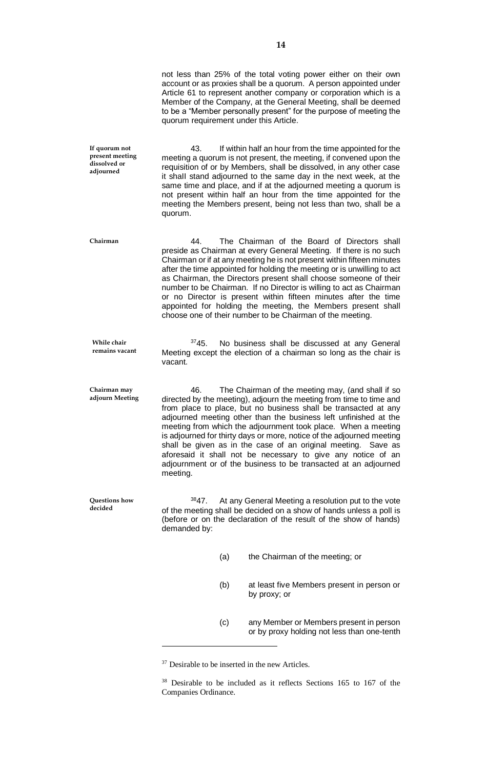|                                                               | not less than 25% of the total voting power either on their own<br>account or as proxies shall be a quorum. A person appointed under<br>Article 61 to represent another company or corporation which is a<br>Member of the Company, at the General Meeting, shall be deemed<br>to be a "Member personally present" for the purpose of meeting the<br>quorum requirement under this Article.                                                                                                                                                                                                                                      |
|---------------------------------------------------------------|----------------------------------------------------------------------------------------------------------------------------------------------------------------------------------------------------------------------------------------------------------------------------------------------------------------------------------------------------------------------------------------------------------------------------------------------------------------------------------------------------------------------------------------------------------------------------------------------------------------------------------|
| If quorum not<br>present meeting<br>dissolved or<br>adjourned | 43.<br>If within half an hour from the time appointed for the<br>meeting a quorum is not present, the meeting, if convened upon the<br>requisition of or by Members, shall be dissolved, in any other case<br>it shall stand adjourned to the same day in the next week, at the<br>same time and place, and if at the adjourned meeting a quorum is<br>not present within half an hour from the time appointed for the<br>meeting the Members present, being not less than two, shall be a<br>quorum.                                                                                                                            |
| Chairman                                                      | The Chairman of the Board of Directors shall<br>44.<br>preside as Chairman at every General Meeting. If there is no such<br>Chairman or if at any meeting he is not present within fifteen minutes<br>after the time appointed for holding the meeting or is unwilling to act<br>as Chairman, the Directors present shall choose someone of their<br>number to be Chairman. If no Director is willing to act as Chairman<br>or no Director is present within fifteen minutes after the time<br>appointed for holding the meeting, the Members present shall<br>choose one of their number to be Chairman of the meeting.         |
| While chair<br>remains vacant                                 | 3745.<br>No business shall be discussed at any General<br>Meeting except the election of a chairman so long as the chair is<br>vacant.                                                                                                                                                                                                                                                                                                                                                                                                                                                                                           |
| Chairman may<br>adjourn Meeting                               | 46.<br>The Chairman of the meeting may, (and shall if so<br>directed by the meeting), adjourn the meeting from time to time and<br>from place to place, but no business shall be transacted at any<br>adjourned meeting other than the business left unfinished at the<br>meeting from which the adjournment took place. When a meeting<br>is adjourned for thirty days or more, notice of the adjourned meeting<br>shall be given as in the case of an original meeting. Save as<br>aforesaid it shall not be necessary to give any notice of an<br>adjournment or of the business to be transacted at an adjourned<br>meeting. |
| Questions how<br>decided                                      | 3847.<br>At any General Meeting a resolution put to the vote<br>of the meeting shall be decided on a show of hands unless a poll is<br>(before or on the declaration of the result of the show of hands)<br>demanded by:                                                                                                                                                                                                                                                                                                                                                                                                         |
|                                                               | (a)<br>the Chairman of the meeting; or                                                                                                                                                                                                                                                                                                                                                                                                                                                                                                                                                                                           |
|                                                               | (b)<br>at least five Members present in person or<br>by proxy; or                                                                                                                                                                                                                                                                                                                                                                                                                                                                                                                                                                |
|                                                               | (c)<br>any Member or Members present in person<br>or by proxy holding not less than one-tenth                                                                                                                                                                                                                                                                                                                                                                                                                                                                                                                                    |

<sup>&</sup>lt;sup>37</sup> Desirable to be inserted in the new Articles.

<sup>38</sup> Desirable to be included as it reflects Sections 165 to 167 of the Companies Ordinance.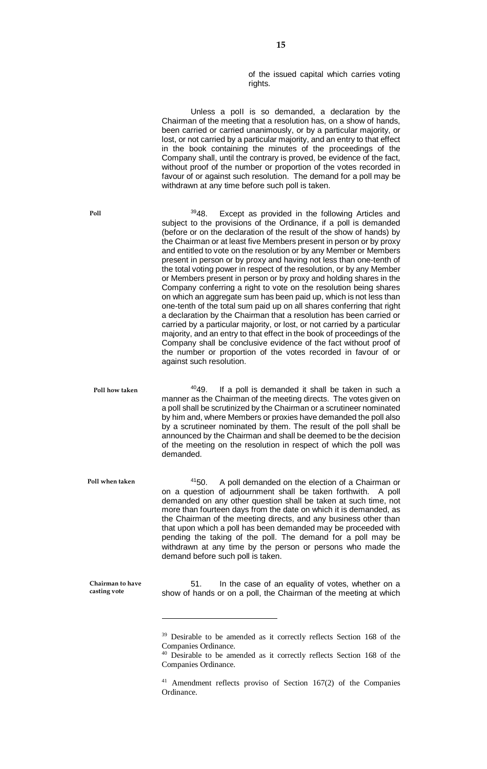of the issued capital which carries voting rights.

Unless a poll is so demanded, a declaration by the Chairman of the meeting that a resolution has, on a show of hands, been carried or carried unanimously, or by a particular majority, or lost, or not carried by a particular majority, and an entry to that effect in the book containing the minutes of the proceedings of the Company shall, until the contrary is proved, be evidence of the fact, without proof of the number or proportion of the votes recorded in favour of or against such resolution. The demand for a poll may be withdrawn at any time before such poll is taken. 3948. Except as provided in the following Articles and subject to the provisions of the Ordinance, if a poll is demanded (before or on the declaration of the result of the show of hands) by the Chairman or at least five Members present in person or by proxy and entitled to vote on the resolution or by any Member or Members present in person or by proxy and having not less than one-tenth of the total voting power in respect of the resolution, or by any Member or Members present in person or by proxy and holding shares in the Company conferring a right to vote on the resolution being shares

on which an aggregate sum has been paid up, which is not less than one-tenth of the total sum paid up on all shares conferring that right a declaration by the Chairman that a resolution has been carried or carried by a particular majority, or lost, or not carried by a particular majority, and an entry to that effect in the book of proceedings of the Company shall be conclusive evidence of the fact without proof of the number or proportion of the votes recorded in favour of or against such resolution.

 $4049$ . If a poll is demanded it shall be taken in such a manner as the Chairman of the meeting directs. The votes given on a poll shall be scrutinized by the Chairman or a scrutineer nominated by him and, where Members or proxies have demanded the poll also by a scrutineer nominated by them. The result of the poll shall be announced by the Chairman and shall be deemed to be the decision of the meeting on the resolution in respect of which the poll was demanded. **Poll how taken**

<sup>41</sup>50. A poll demanded on the election of a Chairman or on a question of adjournment shall be taken forthwith. A poll demanded on any other question shall be taken at such time, not more than fourteen days from the date on which it is demanded, as the Chairman of the meeting directs, and any business other than that upon which a poll has been demanded may be proceeded with pending the taking of the poll. The demand for a poll may be withdrawn at any time by the person or persons who made the demand before such poll is taken. **Poll when taken**

 $\overline{a}$ 

**Chairman to have casting vote**

51. In the case of an equality of votes, whether on a show of hands or on a poll, the Chairman of the meeting at which

**Poll**

<sup>&</sup>lt;sup>39</sup> Desirable to be amended as it correctly reflects Section 168 of the Companies Ordinance.

<sup>&</sup>lt;sup>40</sup> Desirable to be amended as it correctly reflects Section 168 of the Companies Ordinance.

<sup>41</sup> Amendment reflects proviso of Section 167(2) of the Companies Ordinance.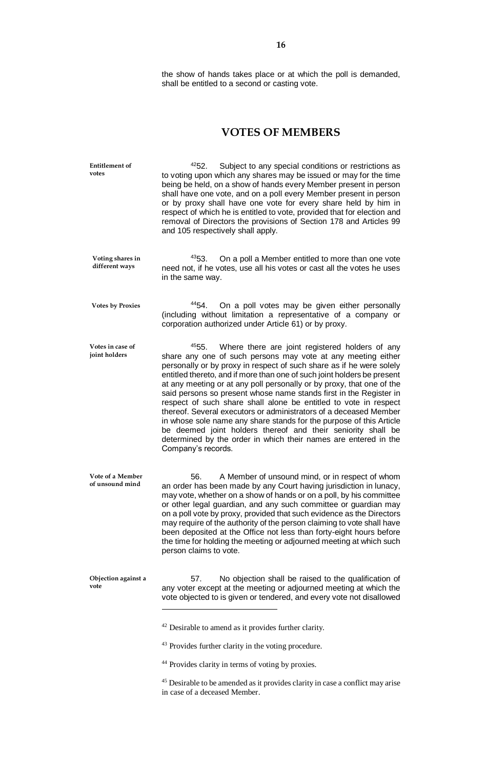the show of hands takes place or at which the poll is demanded, shall be entitled to a second or casting vote.

## **VOTES OF MEMBERS**

| <b>Entitlement of</b><br>votes      | 4252.<br>Subject to any special conditions or restrictions as<br>to voting upon which any shares may be issued or may for the time<br>being be held, on a show of hands every Member present in person<br>shall have one vote, and on a poll every Member present in person<br>or by proxy shall have one vote for every share held by him in<br>respect of which he is entitled to vote, provided that for election and<br>removal of Directors the provisions of Section 178 and Articles 99<br>and 105 respectively shall apply.                                                                                                                                                                                                                                                                 |
|-------------------------------------|-----------------------------------------------------------------------------------------------------------------------------------------------------------------------------------------------------------------------------------------------------------------------------------------------------------------------------------------------------------------------------------------------------------------------------------------------------------------------------------------------------------------------------------------------------------------------------------------------------------------------------------------------------------------------------------------------------------------------------------------------------------------------------------------------------|
| Voting shares in<br>different ways  | 4353.<br>On a poll a Member entitled to more than one vote<br>need not, if he votes, use all his votes or cast all the votes he uses<br>in the same way.                                                                                                                                                                                                                                                                                                                                                                                                                                                                                                                                                                                                                                            |
| <b>Votes by Proxies</b>             | 4454.<br>On a poll votes may be given either personally<br>(including without limitation a representative of a company or<br>corporation authorized under Article 61) or by proxy.                                                                                                                                                                                                                                                                                                                                                                                                                                                                                                                                                                                                                  |
| Votes in case of<br>joint holders   | 4555.<br>Where there are joint registered holders of any<br>share any one of such persons may vote at any meeting either<br>personally or by proxy in respect of such share as if he were solely<br>entitled thereto, and if more than one of such joint holders be present<br>at any meeting or at any poll personally or by proxy, that one of the<br>said persons so present whose name stands first in the Register in<br>respect of such share shall alone be entitled to vote in respect<br>thereof. Several executors or administrators of a deceased Member<br>in whose sole name any share stands for the purpose of this Article<br>be deemed joint holders thereof and their seniority shall be<br>determined by the order in which their names are entered in the<br>Company's records. |
| Vote of a Member<br>of unsound mind | 56.<br>A Member of unsound mind, or in respect of whom<br>an order has been made by any Court having jurisdiction in lunacy,<br>may vote, whether on a show of hands or on a poll, by his committee<br>or other legal guardian, and any such committee or guardian may<br>on a poll vote by proxy, provided that such evidence as the Directors<br>may require of the authority of the person claiming to vote shall have<br>been deposited at the Office not less than forty-eight hours before<br>the time for holding the meeting or adjourned meeting at which such<br>person claims to vote.                                                                                                                                                                                                   |
| Objection against a<br>vote         | 57.<br>No objection shall be raised to the qualification of<br>any voter except at the meeting or adjourned meeting at which the<br>vote objected to is given or tendered, and every vote not disallowed                                                                                                                                                                                                                                                                                                                                                                                                                                                                                                                                                                                            |
|                                     | <sup>42</sup> Desirable to amend as it provides further clarity.                                                                                                                                                                                                                                                                                                                                                                                                                                                                                                                                                                                                                                                                                                                                    |
|                                     | <sup>43</sup> Provides further clarity in the voting procedure.                                                                                                                                                                                                                                                                                                                                                                                                                                                                                                                                                                                                                                                                                                                                     |
|                                     | <sup>44</sup> Provides clarity in terms of voting by proxies.                                                                                                                                                                                                                                                                                                                                                                                                                                                                                                                                                                                                                                                                                                                                       |

<sup>45</sup> Desirable to be amended as it provides clarity in case a conflict may arise in case of a deceased Member.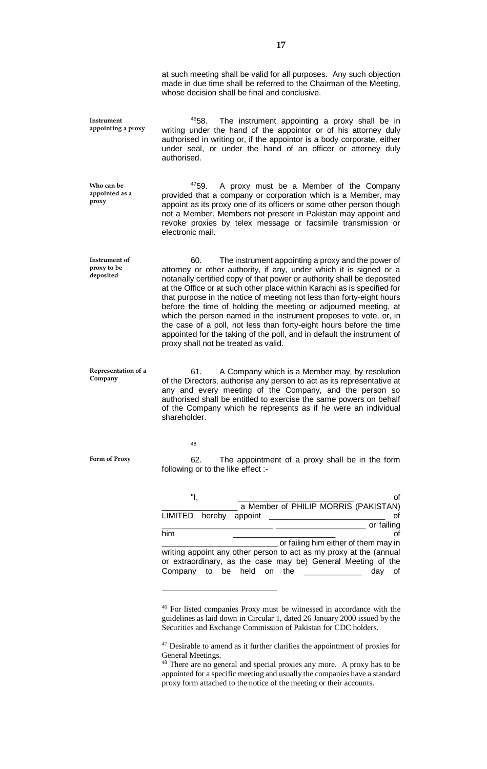at such meeting shall be valid for all purposes. Any such objection made in due time shall be referred to the Chairman of the Meeting, whose decision shall be final and conclusive.

4658. The instrument appointing a proxy shall be in writing under the hand of the appointor or of his attorney duly authorised in writing or, if the appointor is a body corporate, either under seal, or under the hand of an officer or attorney duly authorised. **Instrument appointing a proxy**

4759. A proxy must be a Member of the Company provided that a company or corporation which is a Member, may appoint as its proxy one of its officers or some other person though not a Member. Members not present in Pakistan may appoint and revoke proxies by telex message or facsimile transmission or electronic mail. **Who can be appointed as a** 

60. The instrument appointing a proxy and the power of attorney or other authority, if any, under which it is signed or a notarially certified copy of that power or authority shall be deposited at the Office or at such other place within Karachi as is specified for that purpose in the notice of meeting not less than forty-eight hours before the time of holding the meeting or adjourned meeting, at which the person named in the instrument proposes to vote, or, in the case of a poll, not less than forty-eight hours before the time appointed for the taking of the poll, and in default the instrument of proxy shall not be treated as valid. **Instrument of proxy to be deposited**

61. A Company which is a Member may, by resolution of the Directors, authorise any person to act as its representative at any and every meeting of the Company, and the person so authorised shall be entitled to exercise the same powers on behalf of the Company which he represents as if he were an individual shareholder. **Representation of a Company**

48

 $\overline{a}$ 

**Form of Proxy**

**proxy**

62. The appointment of a proxy shall be in the form following or to the like effect :-

|                                                                    | a Member of PHILIP MORRIS (PAKISTAN)                         |            |  |
|--------------------------------------------------------------------|--------------------------------------------------------------|------------|--|
| LIMITED hereby                                                     | appoint                                                      |            |  |
|                                                                    |                                                              | or failing |  |
| him                                                                |                                                              |            |  |
|                                                                    | or failing him either of them may in                         |            |  |
| writing appoint any other person to act as my proxy at the (annual |                                                              |            |  |
|                                                                    | or extraordinary, as the case may be) General Meeting of the |            |  |
|                                                                    | Company to be held on the                                    | day<br>of  |  |
|                                                                    |                                                              |            |  |

<sup>46</sup> For listed companies Proxy must be witnessed in accordance with the guidelines as laid down in Circular 1, dated 26 January 2000 issued by the Securities and Exchange Commission of Pakistan for CDC holders.

 $47$  Desirable to amend as it further clarifies the appointment of proxies for General Meetings.

<sup>&</sup>lt;sup>48</sup> There are no general and special proxies any more. A proxy has to be appointed for a specific meeting and usually the companies have a standard proxy form attached to the notice of the meeting or their accounts.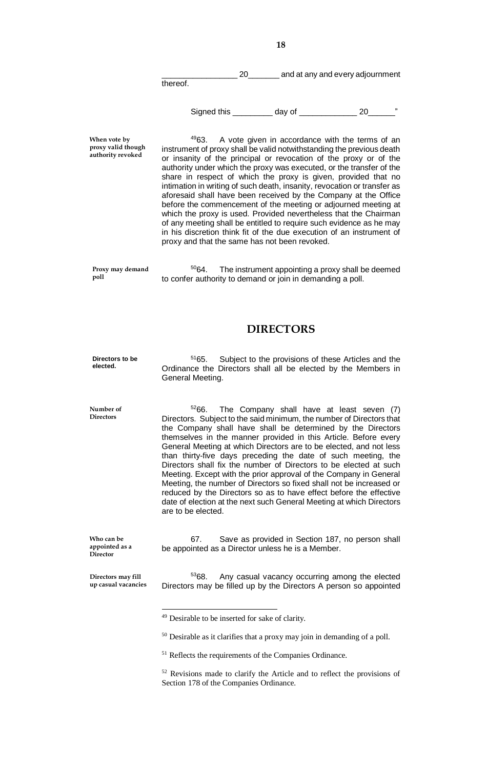\_\_\_\_\_\_\_\_\_\_\_\_\_\_\_\_\_ 20\_\_\_\_\_\_\_ and at any and every adjournment

thereof.

Signed this \_\_\_\_\_\_\_\_\_\_\_ day of \_\_\_\_\_\_\_\_\_\_\_\_\_\_\_\_\_ 20\_

**When vote by proxy valid though authority revoked**

**Number of Directors**

<sup>49</sup>63. A vote given in accordance with the terms of an instrument of proxy shall be valid notwithstanding the previous death or insanity of the principal or revocation of the proxy or of the authority under which the proxy was executed, or the transfer of the share in respect of which the proxy is given, provided that no intimation in writing of such death, insanity, revocation or transfer as aforesaid shall have been received by the Company at the Office before the commencement of the meeting or adjourned meeting at which the proxy is used. Provided nevertheless that the Chairman of any meeting shall be entitled to require such evidence as he may in his discretion think fit of the due execution of an instrument of proxy and that the same has not been revoked.

 $5064.$  The instrument appointing a proxy shall be deemed to confer authority to demand or join in demanding a poll. **Proxy may demand poll**

## **DIRECTORS**

<sup>51</sup>65. Subject to the provisions of these Articles and the Ordinance the Directors shall all be elected by the Members in General Meeting. **Directors to be elected.**

> $5266$ . The Company shall have at least seven (7) Directors. Subject to the said minimum, the number of Directors that the Company shall have shall be determined by the Directors themselves in the manner provided in this Article. Before every General Meeting at which Directors are to be elected, and not less than thirty-five days preceding the date of such meeting, the Directors shall fix the number of Directors to be elected at such Meeting. Except with the prior approval of the Company in General Meeting, the number of Directors so fixed shall not be increased or reduced by the Directors so as to have effect before the effective date of election at the next such General Meeting at which Directors are to be elected.

67. Save as provided in Section 187, no person shall be appointed as a Director unless he is a Member. **Who can be appointed as a Director**

<sup>53</sup>68. Any casual vacancy occurring among the elected Directors may be filled up by the Directors A person so appointed **Directors may fill up casual vacancies**

 $\overline{a}$ 

<sup>50</sup> Desirable as it clarifies that a proxy may join in demanding of a poll.

<sup>52</sup> Revisions made to clarify the Article and to reflect the provisions of Section 178 of the Companies Ordinance.

<sup>49</sup> Desirable to be inserted for sake of clarity.

<sup>51</sup> Reflects the requirements of the Companies Ordinance.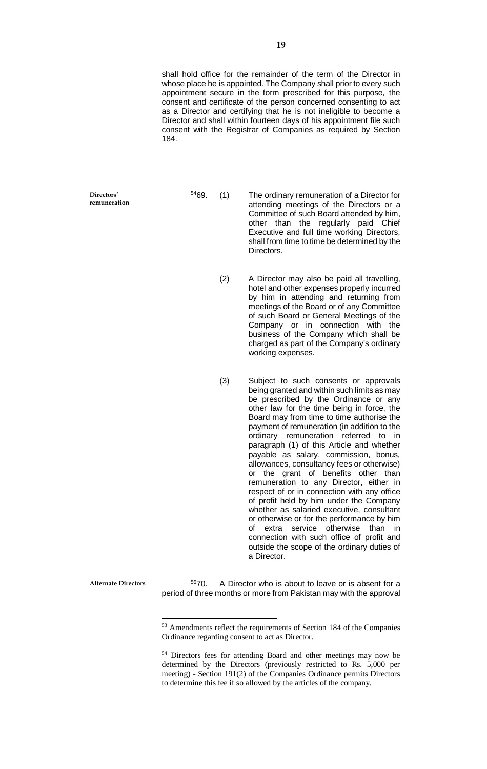shall hold office for the remainder of the term of the Director in whose place he is appointed. The Company shall prior to every such appointment secure in the form prescribed for this purpose, the consent and certificate of the person concerned consenting to act as a Director and certifying that he is not ineligible to become a Director and shall within fourteen days of his appointment file such consent with the Registrar of Companies as required by Section 184.

**Directors' remuneration**

- <sup>54</sup>69. (1) The ordinary remuneration of a Director for attending meetings of the Directors or a Committee of such Board attended by him, other than the regularly paid Chief Executive and full time working Directors, shall from time to time be determined by the **Directors** 
	- (2) A Director may also be paid all travelling, hotel and other expenses properly incurred by him in attending and returning from meetings of the Board or of any Committee of such Board or General Meetings of the Company or in connection with the business of the Company which shall be charged as part of the Company's ordinary working expenses.
	- (3) Subject to such consents or approvals being granted and within such limits as may be prescribed by the Ordinance or any other law for the time being in force, the Board may from time to time authorise the payment of remuneration (in addition to the ordinary remuneration referred to in paragraph (1) of this Article and whether payable as salary, commission, bonus, allowances, consultancy fees or otherwise) or the grant of benefits other than remuneration to any Director, either in respect of or in connection with any office of profit held by him under the Company whether as salaried executive, consultant or otherwise or for the performance by him of extra service otherwise than in connection with such office of profit and outside the scope of the ordinary duties of a Director.

**Alternate Directors**

 $\overline{a}$ 

 $5570.$  A Director who is about to leave or is absent for a period of three months or more from Pakistan may with the approval

<sup>53</sup> Amendments reflect the requirements of Section 184 of the Companies Ordinance regarding consent to act as Director.

<sup>54</sup> Directors fees for attending Board and other meetings may now be determined by the Directors (previously restricted to Rs. 5,000 per meeting) - Section 191(2) of the Companies Ordinance permits Directors to determine this fee if so allowed by the articles of the company.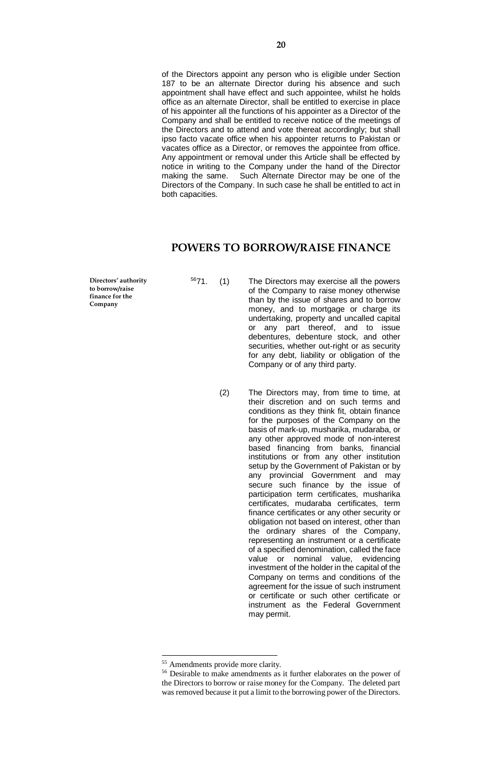of the Directors appoint any person who is eligible under Section 187 to be an alternate Director during his absence and such appointment shall have effect and such appointee, whilst he holds office as an alternate Director, shall be entitled to exercise in place of his appointer all the functions of his appointer as a Director of the Company and shall be entitled to receive notice of the meetings of the Directors and to attend and vote thereat accordingly; but shall ipso facto vacate office when his appointer returns to Pakistan or vacates office as a Director, or removes the appointee from office. Any appointment or removal under this Article shall be effected by notice in writing to the Company under the hand of the Director making the same. Such Alternate Director may be one of the Directors of the Company. In such case he shall be entitled to act in both capacities.

## **POWERS TO BORROW/RAISE FINANCE**

**Directors' authority to borrow/raise finance for the Company**

- <sup>56</sup>71. (1) The Directors may exercise all the powers of the Company to raise money otherwise than by the issue of shares and to borrow money, and to mortgage or charge its undertaking, property and uncalled capital or any part thereof, and to issue debentures, debenture stock, and other securities, whether out-right or as security for any debt, liability or obligation of the Company or of any third party.
	- (2) The Directors may, from time to time, at their discretion and on such terms and conditions as they think fit, obtain finance for the purposes of the Company on the basis of mark-up, musharika, mudaraba, or any other approved mode of non-interest based financing from banks, financial institutions or from any other institution setup by the Government of Pakistan or by any provincial Government and may secure such finance by the issue of participation term certificates, musharika certificates, mudaraba certificates, term finance certificates or any other security or obligation not based on interest, other than the ordinary shares of the Company, representing an instrument or a certificate of a specified denomination, called the face value or nominal value, evidencing investment of the holder in the capital of the Company on terms and conditions of the agreement for the issue of such instrument or certificate or such other certificate or instrument as the Federal Government may permit.

 $\overline{a}$ 

<sup>55</sup> Amendments provide more clarity.

<sup>56</sup> Desirable to make amendments as it further elaborates on the power of the Directors to borrow or raise money for the Company. The deleted part was removed because it put a limit to the borrowing power of the Directors.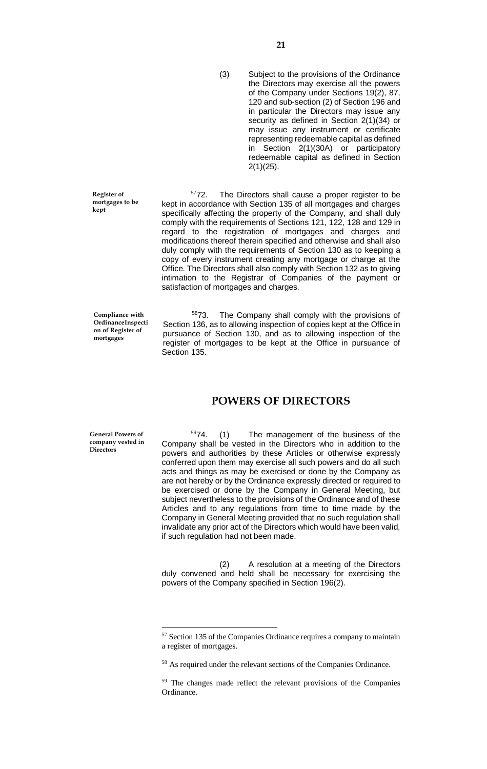**21**

(3) Subject to the provisions of the Ordinance the Directors may exercise all the powers of the Company under Sections 19(2), 87, 120 and sub-section (2) of Section 196 and in particular the Directors may issue any security as defined in Section 2(1)(34) or may issue any instrument or certificate representing redeemable capital as defined in Section 2(1)(30A) or participatory redeemable capital as defined in Section 2(1)(25).

<sup>57</sup>72. The Directors shall cause a proper register to be kept in accordance with Section 135 of all mortgages and charges specifically affecting the property of the Company, and shall duly comply with the requirements of Sections 121, 122, 128 and 129 in regard to the registration of mortgages and charges and modifications thereof therein specified and otherwise and shall also duly comply with the requirements of Section 130 as to keeping a copy of every instrument creating any mortgage or charge at the Office. The Directors shall also comply with Section 132 as to giving intimation to the Registrar of Companies of the payment or satisfaction of mortgages and charges.

**Compliance with OrdinanceInspecti on of Register of mortgages**

**Register of mortgages to be** 

**kept**

<sup>58</sup>73. The Company shall comply with the provisions of Section 136, as to allowing inspection of copies kept at the Office in pursuance of Section 130, and as to allowing inspection of the register of mortgages to be kept at the Office in pursuance of Section 135.

#### **POWERS OF DIRECTORS**

**General Powers of company vested in Directors**

 $\overline{a}$ 

 $5974.$  (1) The management of the business of the Company shall be vested in the Directors who in addition to the powers and authorities by these Articles or otherwise expressly conferred upon them may exercise all such powers and do all such acts and things as may be exercised or done by the Company as are not hereby or by the Ordinance expressly directed or required to be exercised or done by the Company in General Meeting, but subject nevertheless to the provisions of the Ordinance and of these Articles and to any regulations from time to time made by the Company in General Meeting provided that no such regulation shall invalidate any prior act of the Directors which would have been valid, if such regulation had not been made.

(2) A resolution at a meeting of the Directors duly convened and held shall be necessary for exercising the powers of the Company specified in Section 196(2).

<sup>57</sup> Section 135 of the Companies Ordinance requires a company to maintain a register of mortgages.

<sup>58</sup> As required under the relevant sections of the Companies Ordinance.

<sup>59</sup> The changes made reflect the relevant provisions of the Companies Ordinance.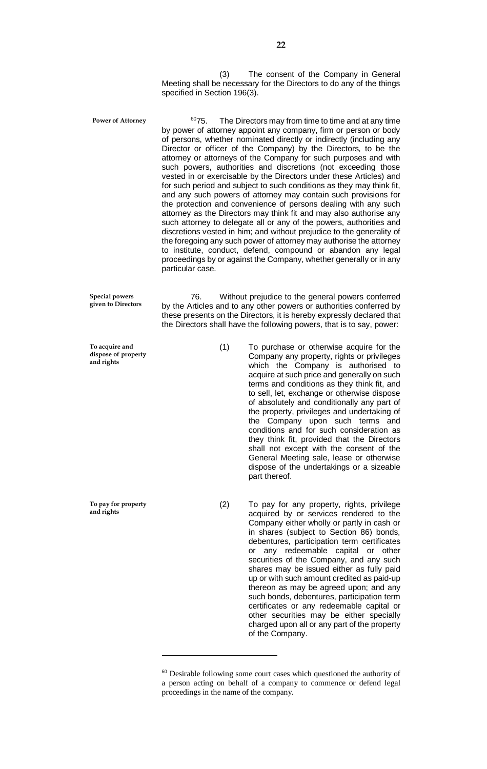(3) The consent of the Company in General Meeting shall be necessary for the Directors to do any of the things specified in Section 196(3).

 $6075$ . The Directors may from time to time and at any time by power of attorney appoint any company, firm or person or body of persons, whether nominated directly or indirectly (including any Director or officer of the Company) by the Directors, to be the attorney or attorneys of the Company for such purposes and with such powers, authorities and discretions (not exceeding those vested in or exercisable by the Directors under these Articles) and for such period and subject to such conditions as they may think fit, and any such powers of attorney may contain such provisions for the protection and convenience of persons dealing with any such attorney as the Directors may think fit and may also authorise any such attorney to delegate all or any of the powers, authorities and discretions vested in him; and without prejudice to the generality of the foregoing any such power of attorney may authorise the attorney to institute, conduct, defend, compound or abandon any legal proceedings by or against the Company, whether generally or in any particular case. **Power of Attorney**

76. Without prejudice to the general powers conferred by the Articles and to any other powers or authorities conferred by these presents on the Directors, it is hereby expressly declared that the Directors shall have the following powers, that is to say, power: **Special powers** 

> (1) To purchase or otherwise acquire for the Company any property, rights or privileges which the Company is authorised to acquire at such price and generally on such terms and conditions as they think fit, and to sell, let, exchange or otherwise dispose of absolutely and conditionally any part of the property, privileges and undertaking of the Company upon such terms and conditions and for such consideration as they think fit, provided that the Directors shall not except with the consent of the General Meeting sale, lease or otherwise dispose of the undertakings or a sizeable part thereof.

> (2) To pay for any property, rights, privilege acquired by or services rendered to the Company either wholly or partly in cash or in shares (subject to Section 86) bonds, debentures, participation term certificates or any redeemable capital or other securities of the Company, and any such shares may be issued either as fully paid up or with such amount credited as paid-up thereon as may be agreed upon; and any such bonds, debentures, participation term certificates or any redeemable capital or other securities may be either specially charged upon all or any part of the property of the Company.

**given to Directors**

**To acquire and dispose of property and rights**

**To pay for property and rights**

 $\overline{a}$ 

<sup>&</sup>lt;sup>60</sup> Desirable following some court cases which questioned the authority of a person acting on behalf of a company to commence or defend legal proceedings in the name of the company.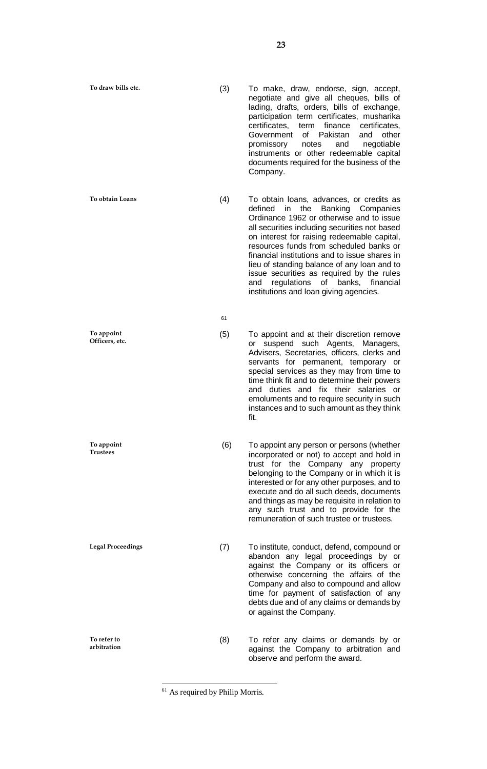**To obtain Loans**

**To appoint Officers, etc.**

**To appoint Trustees**

**Legal Proceedings**

**To refer to arbitration**

- (4) To obtain loans, advances, or credits as defined in the Banking Companies Ordinance 1962 or otherwise and to issue all securities including securities not based on interest for raising redeemable capital, resources funds from scheduled banks or financial institutions and to issue shares in lieu of standing balance of any loan and to issue securities as required by the rules and regulations of banks, financial institutions and loan giving agencies.
- (5) To appoint and at their discretion remove or suspend such Agents, Managers, Advisers, Secretaries, officers, clerks and servants for permanent, temporary or special services as they may from time to time think fit and to determine their powers and duties and fix their salaries or emoluments and to require security in such instances and to such amount as they think fit.
- (6) To appoint any person or persons (whether incorporated or not) to accept and hold in trust for the Company any property belonging to the Company or in which it is interested or for any other purposes, and to execute and do all such deeds, documents and things as may be requisite in relation to any such trust and to provide for the remuneration of such trustee or trustees.
- (7) To institute, conduct, defend, compound or abandon any legal proceedings by or against the Company or its officers or otherwise concerning the affairs of the Company and also to compound and allow time for payment of satisfaction of any debts due and of any claims or demands by or against the Company.
- (8) To refer any claims or demands by or against the Company to arbitration and observe and perform the award.

 $\overline{a}$ 

61

<sup>(3)</sup> To make, draw, endorse, sign, accept, negotiate and give all cheques, bills of lading, drafts, orders, bills of exchange, participation term certificates, musharika certificates, term finance certificates, Government of Pakistan and other promissory notes and negotiable instruments or other redeemable capital documents required for the business of the Company.

<sup>61</sup> As required by Philip Morris.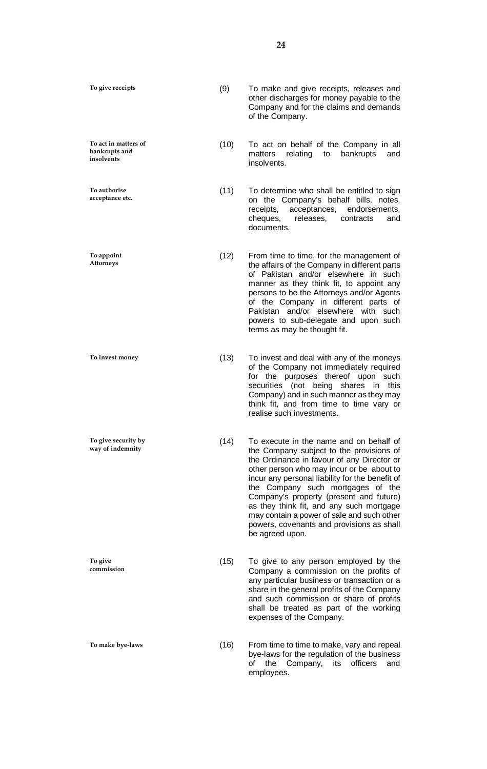**To act in matters of bankrupts and insolvents**

**To authorise acceptance etc.**

**To appoint Attorneys**

**To invest money**

**To give security by way of indemnity**

**To give commission**

**To make bye-laws**

(9) To make and give receipts, releases and other discharges for money payable to the Company and for the claims and demands of the Company.

(10) To act on behalf of the Company in all matters relating to bankrupts and insolvents.

(11) To determine who shall be entitled to sign on the Company's behalf bills, notes, receipts, acceptances, endorsements, cheques, releases, contracts and documents.

(12) From time to time, for the management of the affairs of the Company in different parts of Pakistan and/or elsewhere in such manner as they think fit, to appoint any persons to be the Attorneys and/or Agents of the Company in different parts of Pakistan and/or elsewhere with such powers to sub-delegate and upon such terms as may be thought fit.

(13) To invest and deal with any of the moneys of the Company not immediately required for the purposes thereof upon such securities (not being shares in this Company) and in such manner as they may think fit, and from time to time vary or realise such investments.

(14) To execute in the name and on behalf of the Company subject to the provisions of the Ordinance in favour of any Director or other person who may incur or be about to incur any personal liability for the benefit of the Company such mortgages of the Company's property (present and future) as they think fit, and any such mortgage may contain a power of sale and such other powers, covenants and provisions as shall be agreed upon.

(15) To give to any person employed by the Company a commission on the profits of any particular business or transaction or a share in the general profits of the Company and such commission or share of profits shall be treated as part of the working expenses of the Company.

(16) From time to time to make, vary and repeal bye-laws for the regulation of the business of the Company, its officers and employees.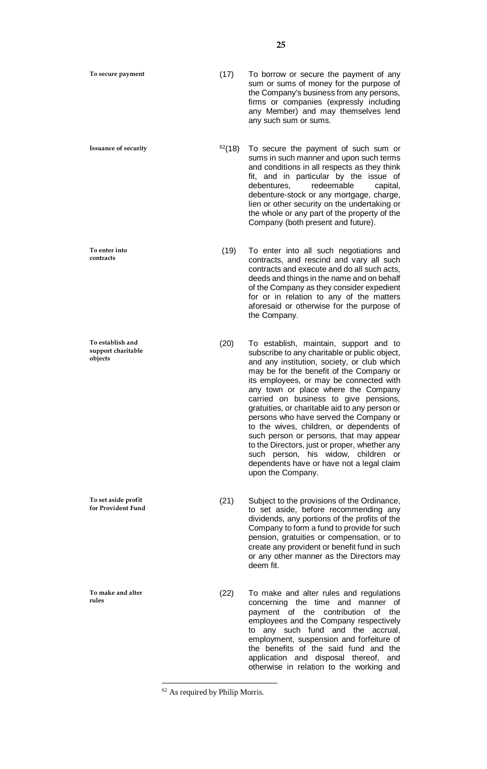**Issuance of security**

**To enter into contracts**

**To establish and support charitable objects**

**To set aside profit for Provident Fund**

**To make and alter rules**

(17) To borrow or secure the payment of any sum or sums of money for the purpose of the Company's business from any persons, firms or companies (expressly including any Member) and may themselves lend any such sum or sums.

 $62(18)$  To secure the payment of such sum or sums in such manner and upon such terms and conditions in all respects as they think fit, and in particular by the issue of debentures, redeemable capital, redeemable capital, debenture-stock or any mortgage, charge, lien or other security on the undertaking or the whole or any part of the property of the Company (both present and future).

(19) To enter into all such negotiations and contracts, and rescind and vary all such contracts and execute and do all such acts, deeds and things in the name and on behalf of the Company as they consider expedient for or in relation to any of the matters aforesaid or otherwise for the purpose of the Company.

(20) To establish, maintain, support and to subscribe to any charitable or public object, and any institution, society, or club which may be for the benefit of the Company or its employees, or may be connected with any town or place where the Company carried on business to give pensions, gratuities, or charitable aid to any person or persons who have served the Company or to the wives, children, or dependents of such person or persons, that may appear to the Directors, just or proper, whether any such person, his widow, children or dependents have or have not a legal claim upon the Company.

(21) Subject to the provisions of the Ordinance, to set aside, before recommending any dividends, any portions of the profits of the Company to form a fund to provide for such pension, gratuities or compensation, or to create any provident or benefit fund in such or any other manner as the Directors may deem fit.

(22) To make and alter rules and regulations concerning the time and manner of payment of the contribution of the employees and the Company respectively to any such fund and the accrual, employment, suspension and forfeiture of the benefits of the said fund and the application and disposal thereof, and otherwise in relation to the working and

 $\overline{a}$ 

<sup>62</sup> As required by Philip Morris.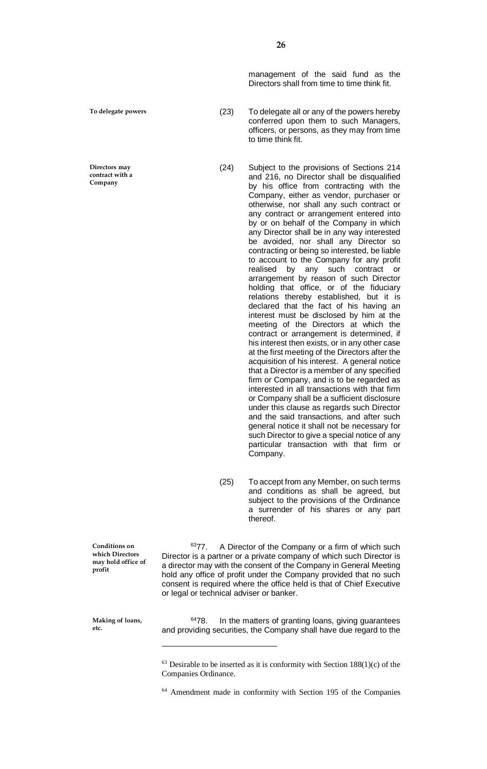**To delegate powers**

**Directors may contract with a Company**

management of the said fund as the Directors shall from time to time think fit.

- (23) To delegate all or any of the powers hereby conferred upon them to such Managers, officers, or persons, as they may from time to time think fit.
- (24) Subject to the provisions of Sections 214 and 216, no Director shall be disqualified by his office from contracting with the Company, either as vendor, purchaser or otherwise, nor shall any such contract or any contract or arrangement entered into by or on behalf of the Company in which any Director shall be in any way interested be avoided, nor shall any Director so contracting or being so interested, be liable to account to the Company for any profit realised by any such contract or arrangement by reason of such Director holding that office, or of the fiduciary relations thereby established, but it is declared that the fact of his having an interest must be disclosed by him at the meeting of the Directors at which the contract or arrangement is determined, if his interest then exists, or in any other case at the first meeting of the Directors after the acquisition of his interest. A general notice that a Director is a member of any specified firm or Company, and is to be regarded as interested in all transactions with that firm or Company shall be a sufficient disclosure under this clause as regards such Director and the said transactions, and after such general notice it shall not be necessary for such Director to give a special notice of any particular transaction with that firm or Company.
- (25) To accept from any Member, on such terms and conditions as shall be agreed, but subject to the provisions of the Ordinance a surrender of his shares or any part thereof.

**Conditions on which Directors may hold office of profit**

 $6377$ . A Director of the Company or a firm of which such Director is a partner or a private company of which such Director is a director may with the consent of the Company in General Meeting hold any office of profit under the Company provided that no such consent is required where the office held is that of Chief Executive or legal or technical adviser or banker.

**Making of loans, etc.**

 $\overline{a}$ 

 $6478$ . In the matters of granting loans, giving guarantees and providing securities, the Company shall have due regard to the

 $63$  Desirable to be inserted as it is conformity with Section 188(1)(c) of the Companies Ordinance.

<sup>64</sup> Amendment made in conformity with Section 195 of the Companies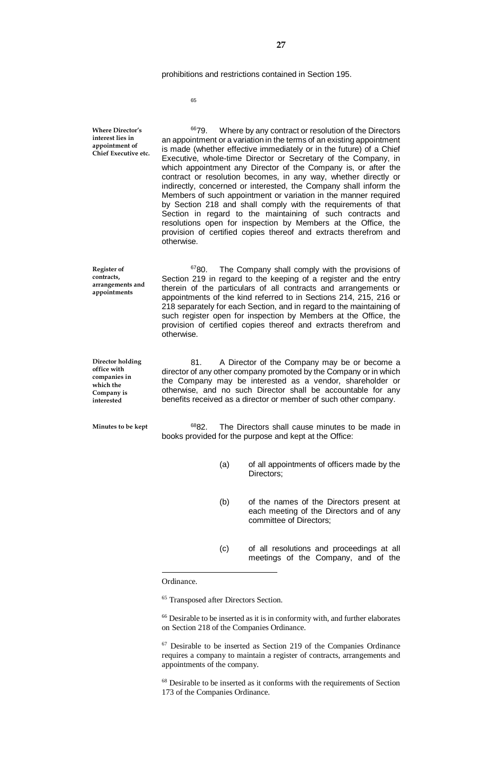prohibitions and restrictions contained in Section 195.

65

<sup>66</sup>79. Where by any contract or resolution of the Directors an appointment or a variation in the terms of an existing appointment is made (whether effective immediately or in the future) of a Chief Executive, whole-time Director or Secretary of the Company, in which appointment any Director of the Company is, or after the contract or resolution becomes, in any way, whether directly or indirectly, concerned or interested, the Company shall inform the Members of such appointment or variation in the manner required by Section 218 and shall comply with the requirements of that Section in regard to the maintaining of such contracts and resolutions open for inspection by Members at the Office, the provision of certified copies thereof and extracts therefrom and otherwise. <sup>67</sup>80. The Company shall comply with the provisions of Section 219 in regard to the keeping of a register and the entry therein of the particulars of all contracts and arrangements or appointments of the kind referred to in Sections 214, 215, 216 or 218 separately for each Section, and in regard to the maintaining of such register open for inspection by Members at the Office, the provision of certified copies thereof and extracts therefrom and otherwise. 81. A Director of the Company may be or become a director of any other company promoted by the Company or in which the Company may be interested as a vendor, shareholder or otherwise, and no such Director shall be accountable for any benefits received as a director or member of such other company. <sup>68</sup>82. The Directors shall cause minutes to be made in books provided for the purpose and kept at the Office: (a) of all appointments of officers made by the Directors; (b) of the names of the Directors present at each meeting of the Directors and of any **Where Director's interest lies in appointment of Chief Executive etc. Register of contracts, arrangements and appointments Director holding office with companies in which the Company is interested Minutes to be kept**

- committee of Directors;
- (c) of all resolutions and proceedings at all meetings of the Company, and of the

Ordinance.

 $\overline{a}$ 

<sup>65</sup> Transposed after Directors Section.

<sup>66</sup> Desirable to be inserted as it is in conformity with, and further elaborates on Section 218 of the Companies Ordinance.

 $67$  Desirable to be inserted as Section 219 of the Companies Ordinance requires a company to maintain a register of contracts, arrangements and appointments of the company.

<sup>68</sup> Desirable to be inserted as it conforms with the requirements of Section 173 of the Companies Ordinance.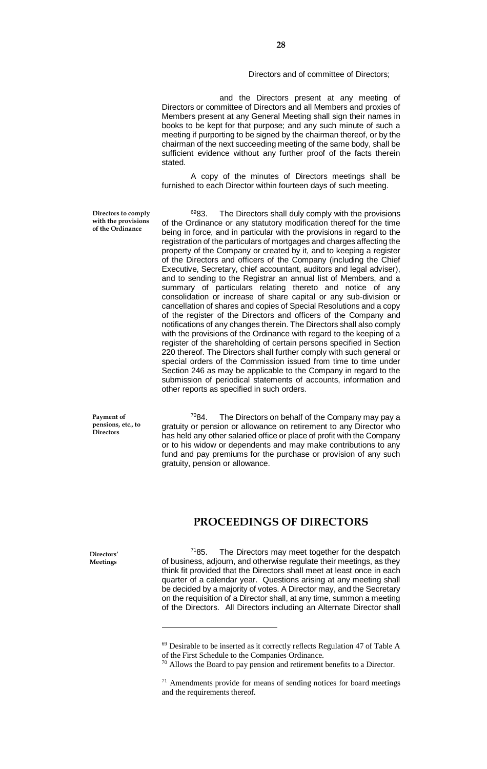#### Directors and of committee of Directors;

and the Directors present at any meeting of Directors or committee of Directors and all Members and proxies of Members present at any General Meeting shall sign their names in books to be kept for that purpose; and any such minute of such a meeting if purporting to be signed by the chairman thereof, or by the chairman of the next succeeding meeting of the same body, shall be sufficient evidence without any further proof of the facts therein stated.

A copy of the minutes of Directors meetings shall be furnished to each Director within fourteen days of such meeting.

**Directors to comply with the provisions of the Ordinance**

6983. The Directors shall duly comply with the provisions of the Ordinance or any statutory modification thereof for the time being in force, and in particular with the provisions in regard to the registration of the particulars of mortgages and charges affecting the property of the Company or created by it, and to keeping a register of the Directors and officers of the Company (including the Chief Executive, Secretary, chief accountant, auditors and legal adviser), and to sending to the Registrar an annual list of Members, and a summary of particulars relating thereto and notice of any consolidation or increase of share capital or any sub-division or cancellation of shares and copies of Special Resolutions and a copy of the register of the Directors and officers of the Company and notifications of any changes therein. The Directors shall also comply with the provisions of the Ordinance with regard to the keeping of a register of the shareholding of certain persons specified in Section 220 thereof. The Directors shall further comply with such general or special orders of the Commission issued from time to time under Section 246 as may be applicable to the Company in regard to the submission of periodical statements of accounts, information and other reports as specified in such orders.

**Payment of pensions, etc., to Directors**

 $7084.$  The Directors on behalf of the Company may pay a gratuity or pension or allowance on retirement to any Director who has held any other salaried office or place of profit with the Company or to his widow or dependents and may make contributions to any fund and pay premiums for the purchase or provision of any such gratuity, pension or allowance.

## **PROCEEDINGS OF DIRECTORS**

 $7185$ . The Directors may meet together for the despatch of business, adjourn, and otherwise regulate their meetings, as they think fit provided that the Directors shall meet at least once in each quarter of a calendar year. Questions arising at any meeting shall be decided by a majority of votes. A Director may, and the Secretary on the requisition of a Director shall, at any time, summon a meeting of the Directors. All Directors including an Alternate Director shall

**Directors' Meetings**

 $\overline{a}$ 

 $69$  Desirable to be inserted as it correctly reflects Regulation 47 of Table A of the First Schedule to the Companies Ordinance.

<sup>&</sup>lt;sup>70</sup> Allows the Board to pay pension and retirement benefits to a Director.

 $71$  Amendments provide for means of sending notices for board meetings and the requirements thereof.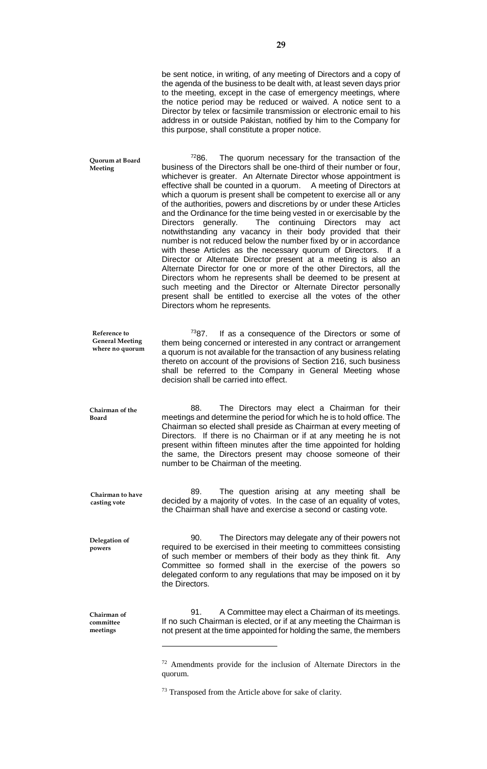|                                                           | be sent notice, in writing, of any meeting of Directors and a copy of<br>the agenda of the business to be dealt with, at least seven days prior<br>to the meeting, except in the case of emergency meetings, where<br>the notice period may be reduced or waived. A notice sent to a<br>Director by telex or facsimile transmission or electronic email to his<br>address in or outside Pakistan, notified by him to the Company for<br>this purpose, shall constitute a proper notice.                                                                                                                                                                                                                                                                                                                                                                                                                                                                                                                                                                                                                                                                                     |
|-----------------------------------------------------------|-----------------------------------------------------------------------------------------------------------------------------------------------------------------------------------------------------------------------------------------------------------------------------------------------------------------------------------------------------------------------------------------------------------------------------------------------------------------------------------------------------------------------------------------------------------------------------------------------------------------------------------------------------------------------------------------------------------------------------------------------------------------------------------------------------------------------------------------------------------------------------------------------------------------------------------------------------------------------------------------------------------------------------------------------------------------------------------------------------------------------------------------------------------------------------|
| Quorum at Board<br>Meeting                                | 7286.<br>The quorum necessary for the transaction of the<br>business of the Directors shall be one-third of their number or four,<br>whichever is greater. An Alternate Director whose appointment is<br>effective shall be counted in a quorum.<br>A meeting of Directors at<br>which a quorum is present shall be competent to exercise all or any<br>of the authorities, powers and discretions by or under these Articles<br>and the Ordinance for the time being vested in or exercisable by the<br>The continuing Directors<br>generally.<br><b>Directors</b><br>may<br>act<br>notwithstanding any vacancy in their body provided that their<br>number is not reduced below the number fixed by or in accordance<br>with these Articles as the necessary quorum of Directors.<br>lf a<br>Director or Alternate Director present at a meeting is also an<br>Alternate Director for one or more of the other Directors, all the<br>Directors whom he represents shall be deemed to be present at<br>such meeting and the Director or Alternate Director personally<br>present shall be entitled to exercise all the votes of the other<br>Directors whom he represents. |
| Reference to<br><b>General Meeting</b><br>where no quorum | $^{73}87$ .<br>If as a consequence of the Directors or some of<br>them being concerned or interested in any contract or arrangement<br>a quorum is not available for the transaction of any business relating<br>thereto on account of the provisions of Section 216, such business<br>shall be referred to the Company in General Meeting whose<br>decision shall be carried into effect.                                                                                                                                                                                                                                                                                                                                                                                                                                                                                                                                                                                                                                                                                                                                                                                  |
| Chairman of the<br>Board                                  | 88.<br>The Directors may elect a Chairman for their<br>meetings and determine the period for which he is to hold office. The<br>Chairman so elected shall preside as Chairman at every meeting of<br>Directors. If there is no Chairman or if at any meeting he is not<br>present within fifteen minutes after the time appointed for holding<br>the same, the Directors present may choose someone of their<br>number to be Chairman of the meeting.                                                                                                                                                                                                                                                                                                                                                                                                                                                                                                                                                                                                                                                                                                                       |
| Chairman to have<br>casting vote                          | 89.<br>The question arising at any meeting shall be<br>decided by a majority of votes. In the case of an equality of votes,<br>the Chairman shall have and exercise a second or casting vote.                                                                                                                                                                                                                                                                                                                                                                                                                                                                                                                                                                                                                                                                                                                                                                                                                                                                                                                                                                               |
| Delegation of<br>powers                                   | 90.<br>The Directors may delegate any of their powers not<br>required to be exercised in their meeting to committees consisting<br>of such member or members of their body as they think fit. Any<br>Committee so formed shall in the exercise of the powers so<br>delegated conform to any regulations that may be imposed on it by<br>the Directors.                                                                                                                                                                                                                                                                                                                                                                                                                                                                                                                                                                                                                                                                                                                                                                                                                      |
| Chairman of<br>committee<br>meetings                      | A Committee may elect a Chairman of its meetings.<br>91.<br>If no such Chairman is elected, or if at any meeting the Chairman is<br>not present at the time appointed for holding the same, the members                                                                                                                                                                                                                                                                                                                                                                                                                                                                                                                                                                                                                                                                                                                                                                                                                                                                                                                                                                     |
|                                                           | $72$ Amendments provide for the inclusion of Alternate Directors in the                                                                                                                                                                                                                                                                                                                                                                                                                                                                                                                                                                                                                                                                                                                                                                                                                                                                                                                                                                                                                                                                                                     |

quorum.

 $^{73}$  Transposed from the Article above for sake of clarity.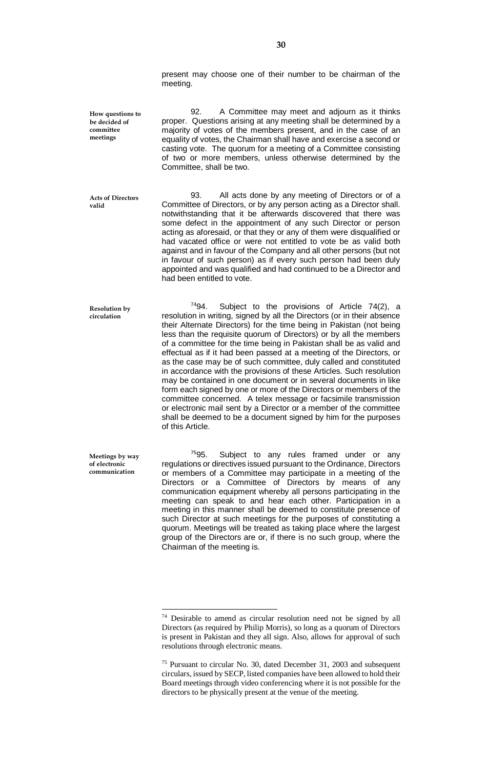present may choose one of their number to be chairman of the meeting.

**How questions to be decided of committee meetings**

**valid**

92. A Committee may meet and adjourn as it thinks proper. Questions arising at any meeting shall be determined by a majority of votes of the members present, and in the case of an equality of votes, the Chairman shall have and exercise a second or casting vote. The quorum for a meeting of a Committee consisting of two or more members, unless otherwise determined by the Committee, shall be two.

93. All acts done by any meeting of Directors or of a Committee of Directors, or by any person acting as a Director shall. notwithstanding that it be afterwards discovered that there was some defect in the appointment of any such Director or person acting as aforesaid, or that they or any of them were disqualified or had vacated office or were not entitled to vote be as valid both against and in favour of the Company and all other persons (but not in favour of such person) as if every such person had been duly appointed and was qualified and had continued to be a Director and had been entitled to vote. **Acts of Directors** 

 $7494$ . Subject to the provisions of Article 74(2), a resolution in writing, signed by all the Directors (or in their absence their Alternate Directors) for the time being in Pakistan (not being less than the requisite quorum of Directors) or by all the members of a committee for the time being in Pakistan shall be as valid and effectual as if it had been passed at a meeting of the Directors, or as the case may be of such committee, duly called and constituted in accordance with the provisions of these Articles. Such resolution may be contained in one document or in several documents in like form each signed by one or more of the Directors or members of the committee concerned. A telex message or facsimile transmission or electronic mail sent by a Director or a member of the committee shall be deemed to be a document signed by him for the purposes of this Article. **Resolution by circulation**

**Meetings by way of electronic communication**

 $\overline{a}$ 

 $7595$ . Subject to any rules framed under or any regulations or directives issued pursuant to the Ordinance, Directors or members of a Committee may participate in a meeting of the Directors or a Committee of Directors by means of any communication equipment whereby all persons participating in the meeting can speak to and hear each other. Participation in a meeting in this manner shall be deemed to constitute presence of such Director at such meetings for the purposes of constituting a quorum. Meetings will be treated as taking place where the largest group of the Directors are or, if there is no such group, where the Chairman of the meeting is.

<sup>74</sup> Desirable to amend as circular resolution need not be signed by all Directors (as required by Philip Morris), so long as a quorum of Directors is present in Pakistan and they all sign. Also, allows for approval of such resolutions through electronic means.

<sup>75</sup> Pursuant to circular No. 30, dated December 31, 2003 and subsequent circulars, issued by SECP, listed companies have been allowed to hold their Board meetings through video conferencing where it is not possible for the directors to be physically present at the venue of the meeting.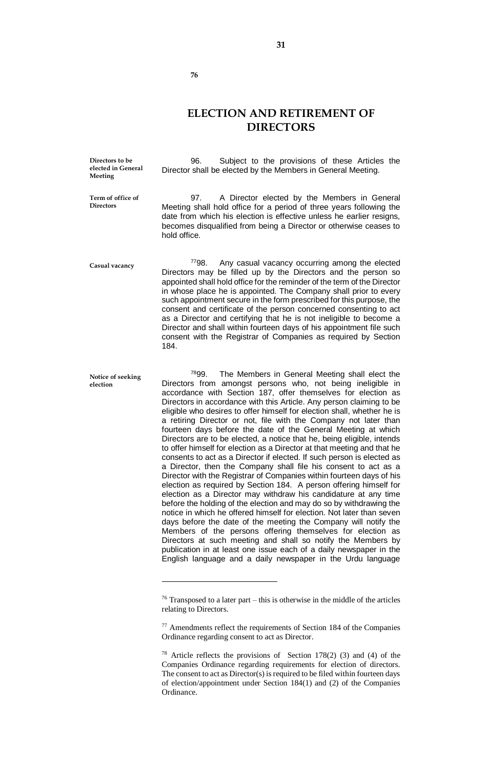**ELECTION AND RETIREMENT OF DIRECTORS**

**31**

**elected in General Meeting**

96. Subject to the provisions of these Articles the Director shall be elected by the Members in General Meeting.

**Term of office of Directors**

**election**

97. A Director elected by the Members in General Meeting shall hold office for a period of three years following the date from which his election is effective unless he earlier resigns, becomes disqualified from being a Director or otherwise ceases to hold office.

<sup>77</sup>98. Any casual vacancy occurring among the elected Directors may be filled up by the Directors and the person so appointed shall hold office for the reminder of the term of the Director in whose place he is appointed. The Company shall prior to every such appointment secure in the form prescribed for this purpose, the consent and certificate of the person concerned consenting to act as a Director and certifying that he is not ineligible to become a Director and shall within fourteen days of his appointment file such consent with the Registrar of Companies as required by Section 184. **Casual vacancy**

<sup>78</sup>99. The Members in General Meeting shall elect the Directors from amongst persons who, not being ineligible in accordance with Section 187, offer themselves for election as Directors in accordance with this Article. Any person claiming to be eligible who desires to offer himself for election shall, whether he is a retiring Director or not, file with the Company not later than fourteen days before the date of the General Meeting at which Directors are to be elected, a notice that he, being eligible, intends to offer himself for election as a Director at that meeting and that he consents to act as a Director if elected. If such person is elected as a Director, then the Company shall file his consent to act as a Director with the Registrar of Companies within fourteen days of his election as required by Section 184. A person offering himself for election as a Director may withdraw his candidature at any time before the holding of the election and may do so by withdrawing the notice in which he offered himself for election. Not later than seven days before the date of the meeting the Company will notify the Members of the persons offering themselves for election as Directors at such meeting and shall so notify the Members by publication in at least one issue each of a daily newspaper in the English language and a daily newspaper in the Urdu language **Notice of seeking** 

 $\overline{a}$ 

**Directors to be** 

 $76$  Transposed to a later part – this is otherwise in the middle of the articles relating to Directors.

<sup>77</sup> Amendments reflect the requirements of Section 184 of the Companies Ordinance regarding consent to act as Director.

<sup>&</sup>lt;sup>78</sup> Article reflects the provisions of Section  $178(2)$  (3) and (4) of the Companies Ordinance regarding requirements for election of directors. The consent to act as Director(s) is required to be filed within fourteen days of election/appointment under Section 184(1) and (2) of the Companies Ordinance.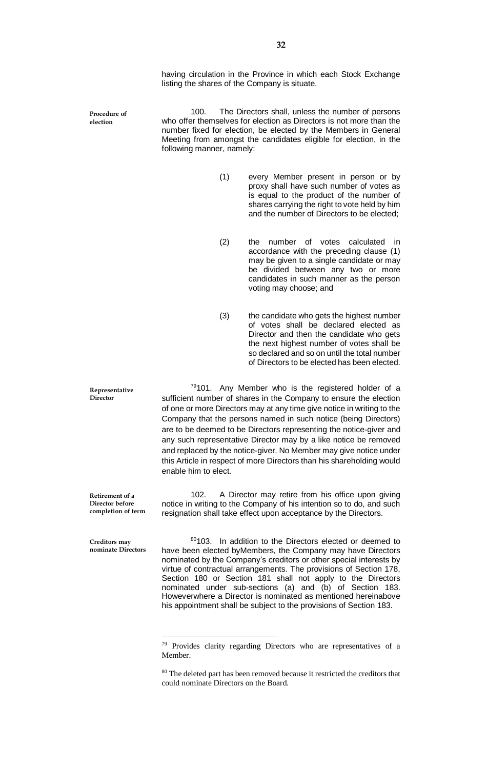having circulation in the Province in which each Stock Exchange listing the shares of the Company is situate.

**Procedure of election**

**Representative Director**

**Creditors may nominate Directors**

100. The Directors shall, unless the number of persons who offer themselves for election as Directors is not more than the number fixed for election, be elected by the Members in General Meeting from amongst the candidates eligible for election, in the following manner, namely:

- (1) every Member present in person or by proxy shall have such number of votes as is equal to the product of the number of shares carrying the right to vote held by him and the number of Directors to be elected;
- (2) the number of votes calculated in accordance with the preceding clause (1) may be given to a single candidate or may be divided between any two or more candidates in such manner as the person voting may choose; and
- (3) the candidate who gets the highest number of votes shall be declared elected as Director and then the candidate who gets the next highest number of votes shall be so declared and so on until the total number of Directors to be elected has been elected.

 $79101$ . Any Member who is the registered holder of a sufficient number of shares in the Company to ensure the election of one or more Directors may at any time give notice in writing to the Company that the persons named in such notice (being Directors) are to be deemed to be Directors representing the notice-giver and any such representative Director may by a like notice be removed and replaced by the notice-giver. No Member may give notice under this Article in respect of more Directors than his shareholding would enable him to elect.

102. A Director may retire from his office upon giving notice in writing to the Company of his intention so to do, and such resignation shall take effect upon acceptance by the Directors. **Retirement of a Director before completion of term**

 $\overline{a}$ 

80103. In addition to the Directors elected or deemed to have been elected byMembers, the Company may have Directors nominated by the Company's creditors or other special interests by virtue of contractual arrangements. The provisions of Section 178, Section 180 or Section 181 shall not apply to the Directors nominated under sub-sections (a) and (b) of Section 183. Howeverwhere a Director is nominated as mentioned hereinabove his appointment shall be subject to the provisions of Section 183.

 $79$  Provides clarity regarding Directors who are representatives of a **Member** 

<sup>&</sup>lt;sup>80</sup> The deleted part has been removed because it restricted the creditors that could nominate Directors on the Board.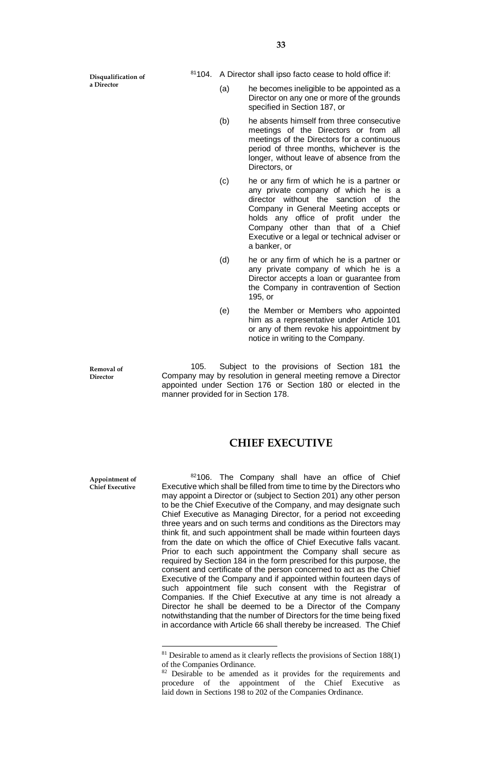**Disqualification of a Director**

- <sup>81</sup>104. A Director shall ipso facto cease to hold office if:
	- (a) he becomes ineligible to be appointed as a Director on any one or more of the grounds specified in Section 187, or
	- (b) he absents himself from three consecutive meetings of the Directors or from all meetings of the Directors for a continuous period of three months, whichever is the longer, without leave of absence from the Directors, or
	- (c) he or any firm of which he is a partner or any private company of which he is a director without the sanction of the Company in General Meeting accepts or holds any office of profit under the Company other than that of a Chief Executive or a legal or technical adviser or a banker, or
	- (d) he or any firm of which he is a partner or any private company of which he is a Director accepts a loan or guarantee from the Company in contravention of Section 195, or
	- (e) the Member or Members who appointed him as a representative under Article 101 or any of them revoke his appointment by notice in writing to the Company.

**Removal of Director**

105. Subject to the provisions of Section 181 the Company may by resolution in general meeting remove a Director appointed under Section 176 or Section 180 or elected in the manner provided for in Section 178.

#### **CHIEF EXECUTIVE**

**Appointment of Chief Executive**

 $\overline{a}$ 

82106. The Company shall have an office of Chief Executive which shall be filled from time to time by the Directors who may appoint a Director or (subject to Section 201) any other person to be the Chief Executive of the Company, and may designate such Chief Executive as Managing Director, for a period not exceeding three years and on such terms and conditions as the Directors may think fit, and such appointment shall be made within fourteen days from the date on which the office of Chief Executive falls vacant. Prior to each such appointment the Company shall secure as required by Section 184 in the form prescribed for this purpose, the consent and certificate of the person concerned to act as the Chief Executive of the Company and if appointed within fourteen days of such appointment file such consent with the Registrar of Companies. If the Chief Executive at any time is not already a Director he shall be deemed to be a Director of the Company notwithstanding that the number of Directors for the time being fixed in accordance with Article 66 shall thereby be increased. The Chief

 $81$  Desirable to amend as it clearly reflects the provisions of Section 188(1) of the Companies Ordinance.

<sup>&</sup>lt;sup>82</sup> Desirable to be amended as it provides for the requirements and procedure of the appointment of the Chief Executive as laid down in Sections 198 to 202 of the Companies Ordinance.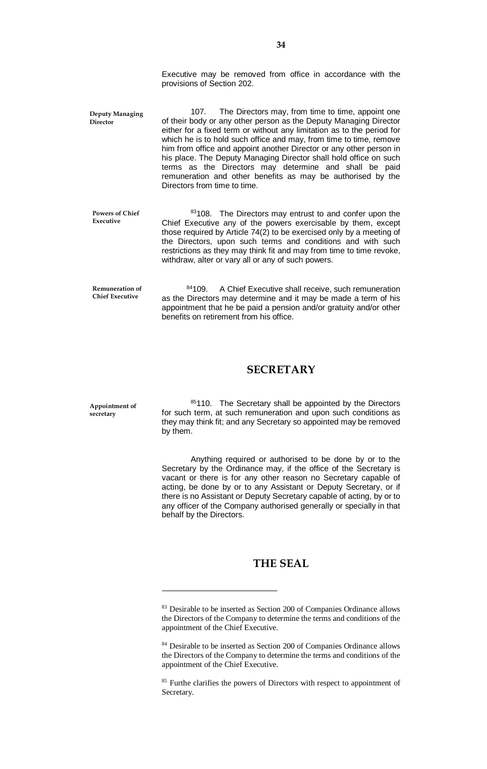Executive may be removed from office in accordance with the provisions of Section 202.

107. The Directors may, from time to time, appoint one of their body or any other person as the Deputy Managing Director either for a fixed term or without any limitation as to the period for which he is to hold such office and may, from time to time, remove him from office and appoint another Director or any other person in his place. The Deputy Managing Director shall hold office on such terms as the Directors may determine and shall be paid remuneration and other benefits as may be authorised by the Directors from time to time. **Deputy Managing Director**

**Powers of Chief Executive**

83108. The Directors may entrust to and confer upon the Chief Executive any of the powers exercisable by them, except those required by Article 74(2) to be exercised only by a meeting of the Directors, upon such terms and conditions and with such restrictions as they may think fit and may from time to time revoke, withdraw, alter or vary all or any of such powers.

**Remuneration of Chief Executive**

84109. A Chief Executive shall receive, such remuneration as the Directors may determine and it may be made a term of his appointment that he be paid a pension and/or gratuity and/or other benefits on retirement from his office.

#### **SECRETARY**

**Appointment of secretary**

 $\overline{a}$ 

85110. The Secretary shall be appointed by the Directors for such term, at such remuneration and upon such conditions as they may think fit; and any Secretary so appointed may be removed by them.

Anything required or authorised to be done by or to the Secretary by the Ordinance may, if the office of the Secretary is vacant or there is for any other reason no Secretary capable of acting, be done by or to any Assistant or Deputy Secretary, or if there is no Assistant or Deputy Secretary capable of acting, by or to any officer of the Company authorised generally or specially in that behalf by the Directors.

## **THE SEAL**

<sup>&</sup>lt;sup>83</sup> Desirable to be inserted as Section 200 of Companies Ordinance allows the Directors of the Company to determine the terms and conditions of the appointment of the Chief Executive.

<sup>84</sup> Desirable to be inserted as Section 200 of Companies Ordinance allows the Directors of the Company to determine the terms and conditions of the appointment of the Chief Executive.

<sup>&</sup>lt;sup>85</sup> Furthe clarifies the powers of Directors with respect to appointment of Secretary.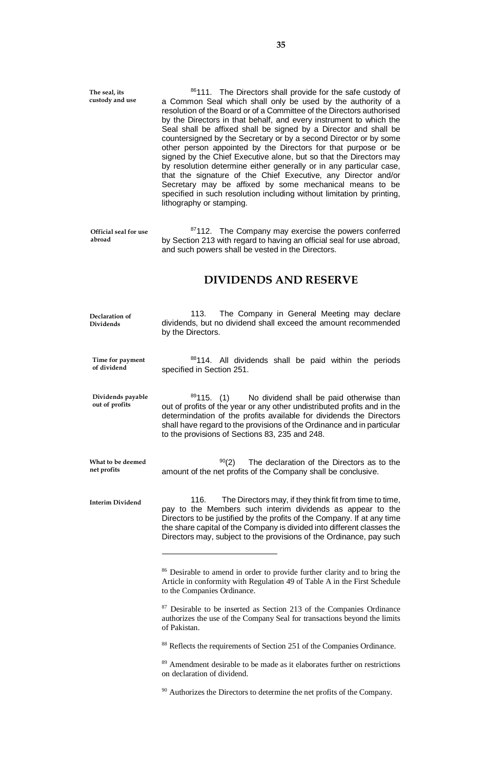86111. The Directors shall provide for the safe custody of a Common Seal which shall only be used by the authority of a resolution of the Board or of a Committee of the Directors authorised by the Directors in that behalf, and every instrument to which the Seal shall be affixed shall be signed by a Director and shall be countersigned by the Secretary or by a second Director or by some other person appointed by the Directors for that purpose or be signed by the Chief Executive alone, but so that the Directors may by resolution determine either generally or in any particular case, that the signature of the Chief Executive, any Director and/or Secretary may be affixed by some mechanical means to be specified in such resolution including without limitation by printing, lithography or stamping. **The seal, its custody and use**

<sup>87</sup>112. The Company may exercise the powers conferred by Section 213 with regard to having an official seal for use abroad, and such powers shall be vested in the Directors. **Official seal for use abroad**

### **DIVIDENDS AND RESERVE**

113. The Company in General Meeting may declare dividends, but no dividend shall exceed the amount recommended by the Directors. **Declaration of Dividends**

88114. All dividends shall be paid within the periods specified in Section 251. **Time for payment of dividend**

89115. (1) No dividend shall be paid otherwise than out of profits of the year or any other undistributed profits and in the determindation of the profits available for dividends the Directors shall have regard to the provisions of the Ordinance and in particular to the provisions of Sections 83, 235 and 248. **Dividends payable out of profits**

 $90(2)$  The declaration of the Directors as to the amount of the net profits of the Company shall be conclusive. **What to be deemed** 

**Interim Dividend**

**net profits**

 $\overline{a}$ 

116. The Directors may, if they think fit from time to time, pay to the Members such interim dividends as appear to the Directors to be justified by the profits of the Company. If at any time the share capital of the Company is divided into different classes the Directors may, subject to the provisions of the Ordinance, pay such

<sup>87</sup> Desirable to be inserted as Section 213 of the Companies Ordinance authorizes the use of the Company Seal for transactions beyond the limits of Pakistan.

<sup>88</sup> Reflects the requirements of Section 251 of the Companies Ordinance.

<sup>89</sup> Amendment desirable to be made as it elaborates further on restrictions on declaration of dividend.

<sup>90</sup> Authorizes the Directors to determine the net profits of the Company.

<sup>&</sup>lt;sup>86</sup> Desirable to amend in order to provide further clarity and to bring the Article in conformity with Regulation 49 of Table A in the First Schedule to the Companies Ordinance.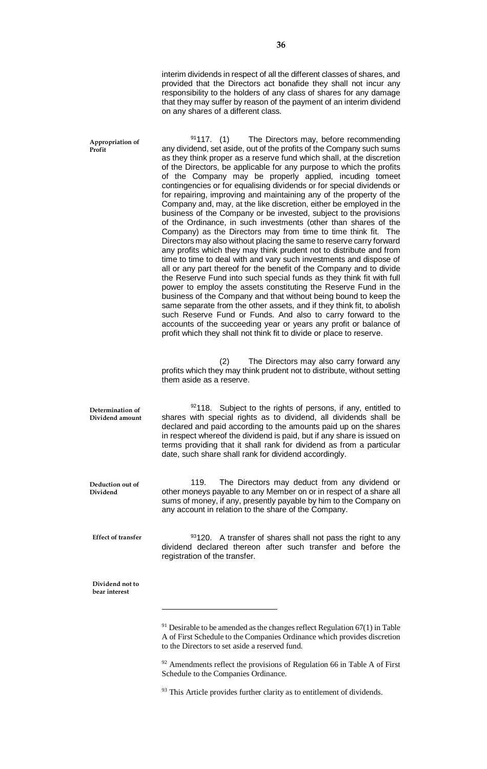interim dividends in respect of all the different classes of shares, and provided that the Directors act bonafide they shall not incur any responsibility to the holders of any class of shares for any damage that they may suffer by reason of the payment of an interim dividend on any shares of a different class.

 $9117.$  (1) The Directors may, before recommending any dividend, set aside, out of the profits of the Company such sums as they think proper as a reserve fund which shall, at the discretion of the Directors, be applicable for any purpose to which the profits of the Company may be properly applied, incuding tomeet contingencies or for equalising dividends or for special dividends or for repairing, improving and maintaining any of the property of the Company and, may, at the like discretion, either be employed in the business of the Company or be invested, subject to the provisions of the Ordinance, in such investments (other than shares of the Company) as the Directors may from time to time think fit. The Directors may also without placing the same to reserve carry forward any profits which they may think prudent not to distribute and from time to time to deal with and vary such investments and dispose of all or any part thereof for the benefit of the Company and to divide the Reserve Fund into such special funds as they think fit with full power to employ the assets constituting the Reserve Fund in the business of the Company and that without being bound to keep the same separate from the other assets, and if they think fit, to abolish such Reserve Fund or Funds. And also to carry forward to the accounts of the succeeding year or years any profit or balance of profit which they shall not think fit to divide or place to reserve. (2) The Directors may also carry forward any profits which they may think prudent not to distribute, without setting them aside as a reserve.  $92118$ . Subject to the rights of persons, if any, entitled to shares with special rights as to dividend, all dividends shall be declared and paid according to the amounts paid up on the shares in respect whereof the dividend is paid, but if any share is issued on terms providing that it shall rank for dividend as from a particular date, such share shall rank for dividend accordingly. 119. The Directors may deduct from any dividend or other moneys payable to any Member on or in respect of a share all sums of money, if any, presently payable by him to the Company on any account in relation to the share of the Company.  $93120$ . A transfer of shares shall not pass the right to any dividend declared thereon after such transfer and before the registration of the transfer.  $\overline{a}$ **Appropriation of Profit Determination of Dividend amount Deduction out of Dividend Effect of transfer Dividend not to bear interest**

 $91$  Desirable to be amended as the changes reflect Regulation 67(1) in Table A of First Schedule to the Companies Ordinance which provides discretion to the Directors to set aside a reserved fund.

 $92$  Amendments reflect the provisions of Regulation 66 in Table A of First Schedule to the Companies Ordinance.

<sup>&</sup>lt;sup>93</sup> This Article provides further clarity as to entitlement of dividends.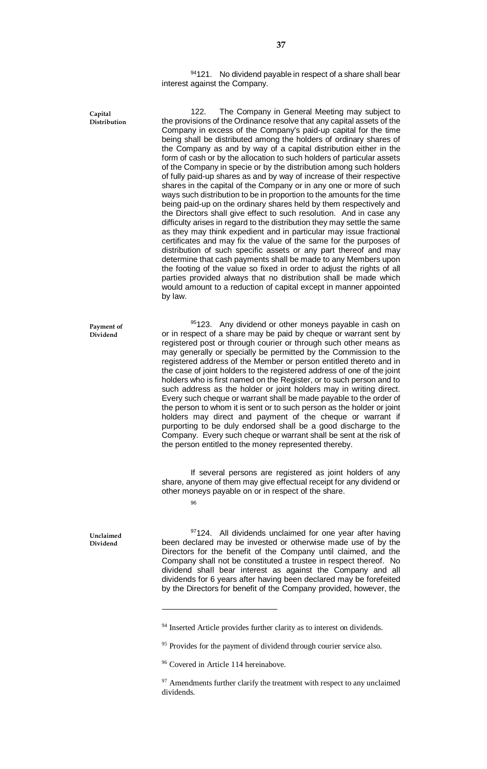$94121.$  No dividend payable in respect of a share shall bear interest against the Company.

122. The Company in General Meeting may subject to the provisions of the Ordinance resolve that any capital assets of the Company in excess of the Company's paid-up capital for the time being shall be distributed among the holders of ordinary shares of the Company as and by way of a capital distribution either in the form of cash or by the allocation to such holders of particular assets of the Company in specie or by the distribution among such holders of fully paid-up shares as and by way of increase of their respective shares in the capital of the Company or in any one or more of such ways such distribution to be in proportion to the amounts for the time being paid-up on the ordinary shares held by them respectively and the Directors shall give effect to such resolution. And in case any difficulty arises in regard to the distribution they may settle the same as they may think expedient and in particular may issue fractional certificates and may fix the value of the same for the purposes of distribution of such specific assets or any part thereof and may determine that cash payments shall be made to any Members upon the footing of the value so fixed in order to adjust the rights of all parties provided always that no distribution shall be made which would amount to a reduction of capital except in manner appointed by law.

95123. Any dividend or other moneys payable in cash on or in respect of a share may be paid by cheque or warrant sent by registered post or through courier or through such other means as may generally or specially be permitted by the Commission to the registered address of the Member or person entitled thereto and in the case of joint holders to the registered address of one of the joint holders who is first named on the Register, or to such person and to such address as the holder or joint holders may in writing direct. Every such cheque or warrant shall be made payable to the order of the person to whom it is sent or to such person as the holder or joint holders may direct and payment of the cheque or warrant if purporting to be duly endorsed shall be a good discharge to the Company. Every such cheque or warrant shall be sent at the risk of the person entitled to the money represented thereby.

If several persons are registered as joint holders of any share, anyone of them may give effectual receipt for any dividend or other moneys payable on or in respect of the share.

96

 $\overline{a}$ 

**Capital Distribution**

**Payment of Dividend**

**Unclaimed Dividend**

97124. All dividends unclaimed for one year after having been declared may be invested or otherwise made use of by the Directors for the benefit of the Company until claimed, and the Company shall not be constituted a trustee in respect thereof. No dividend shaIl bear interest as against the Company and all dividends for 6 years after having been declared may be forefeited by the Directors for benefit of the Company provided, however, the

<sup>&</sup>lt;sup>94</sup> Inserted Article provides further clarity as to interest on dividends.

<sup>&</sup>lt;sup>95</sup> Provides for the payment of dividend through courier service also.

<sup>&</sup>lt;sup>96</sup> Covered in Article 114 hereinabove.

 $97$  Amendments further clarify the treatment with respect to any unclaimed dividends.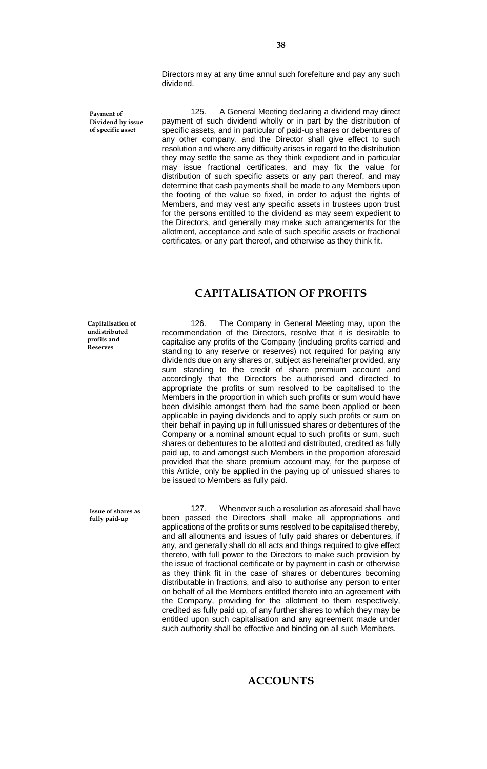Directors may at any time annul such forefeiture and pay any such dividend.

**Payment of Dividend by issue of specific asset**

125. A General Meeting declaring a dividend may direct payment of such dividend wholly or in part by the distribution of specific assets, and in particular of paid-up shares or debentures of any other company, and the Director shall give effect to such resolution and where any difficulty arises in regard to the distribution they may settle the same as they think expedient and in particular may issue fractional certificates, and may fix the value for distribution of such specific assets or any part thereof, and may determine that cash payments shall be made to any Members upon the footing of the value so fixed, in order to adjust the rights of Members, and may vest any specific assets in trustees upon trust for the persons entitled to the dividend as may seem expedient to the Directors, and generally may make such arrangements for the allotment, acceptance and sale of such specific assets or fractional certificates, or any part thereof, and otherwise as they think fit.

## **CAPITALISATION OF PROFITS**

**Capitalisation of undistributed profits and Reserves**

126. The Company in General Meeting may, upon the recommendation of the Directors, resolve that it is desirable to capitalise any profits of the Company (including profits carried and standing to any reserve or reserves) not required for paying any dividends due on any shares or, subject as hereinafter provided, any sum standing to the credit of share premium account and accordingly that the Directors be authorised and directed to appropriate the profits or sum resolved to be capitalised to the Members in the proportion in which such profits or sum would have been divisible amongst them had the same been applied or been applicable in paying dividends and to apply such profits or sum on their behalf in paying up in full unissued shares or debentures of the Company or a nominal amount equal to such profits or sum, such shares or debentures to be allotted and distributed, credited as fully paid up, to and amongst such Members in the proportion aforesaid provided that the share premium account may, for the purpose of this Article, only be applied in the paying up of unissued shares to be issued to Members as fully paid.

**Issue of shares as fully paid-up**

127. Whenever such a resolution as aforesaid shall have been passed the Directors shall make all appropriations and applications of the profits or sums resolved to be capitalised thereby, and all allotments and issues of fully paid shares or debentures, if any, and generally shall do all acts and things required to give effect thereto, with full power to the Directors to make such provision by the issue of fractional certificate or by payment in cash or otherwise as they think fit in the case of shares or debentures becoming distributable in fractions, and also to authorise any person to enter on behalf of all the Members entitled thereto into an agreement with the Company, providing for the allotment to them respectively, credited as fully paid up, of any further shares to which they may be entitled upon such capitalisation and any agreement made under such authority shall be effective and binding on all such Members.

## **ACCOUNTS**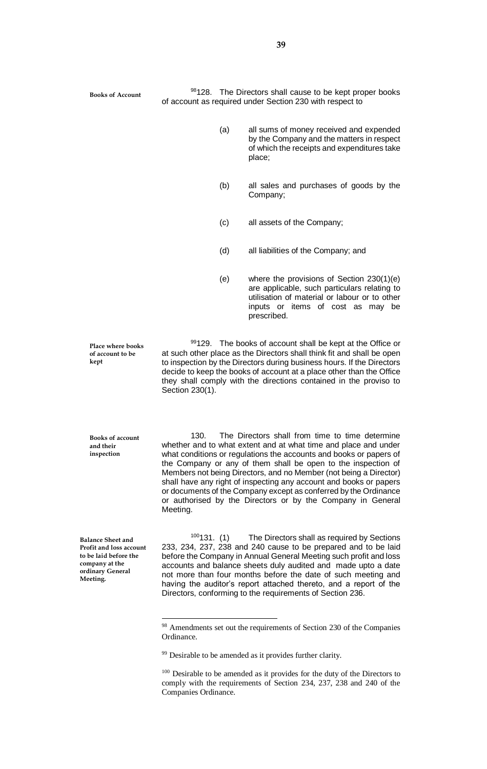**Books of Account**

98128. The Directors shall cause to be kept proper books of account as required under Section 230 with respect to

- (a) all sums of money received and expended by the Company and the matters in respect of which the receipts and expenditures take place;
- (b) all sales and purchases of goods by the Company;
- (c) all assets of the Company;
- (d) all liabilities of the Company; and
- (e) where the provisions of Section 230(1)(e) are applicable, such particulars relating to utilisation of material or labour or to other inputs or items of cost as may be prescribed.

99129. The books of account shall be kept at the Office or at such other place as the Directors shall think fit and shall be open to inspection by the Directors during business hours. If the Directors decide to keep the books of account at a place other than the Office they shall comply with the directions contained in the proviso to Section 230(1).

130. The Directors shall from time to time determine whether and to what extent and at what time and place and under what conditions or regulations the accounts and books or papers of the Company or any of them shall be open to the inspection of Members not being Directors, and no Member (not being a Director) shall have any right of inspecting any account and books or papers or documents of the Company except as conferred by the Ordinance or authorised by the Directors or by the Company in General Meeting.

**Balance Sheet and Profit and loss account to be laid before the company at the ordinary General Meeting.**

**Place where books of account to be** 

**Books of account and their inspection**

**kept**

 $\overline{a}$ 

 $100131.$  (1) The Directors shall as required by Sections 233, 234, 237, 238 and 240 cause to be prepared and to be laid before the Company in Annual General Meeting such profit and loss accounts and balance sheets duly audited and made upto a date not more than four months before the date of such meeting and having the auditor's report attached thereto, and a report of the Directors, conforming to the requirements of Section 236.

<sup>&</sup>lt;sup>98</sup> Amendments set out the requirements of Section 230 of the Companies Ordinance.

<sup>&</sup>lt;sup>99</sup> Desirable to be amended as it provides further clarity.

<sup>&</sup>lt;sup>100</sup> Desirable to be amended as it provides for the duty of the Directors to comply with the requirements of Section 234, 237, 238 and 240 of the Companies Ordinance.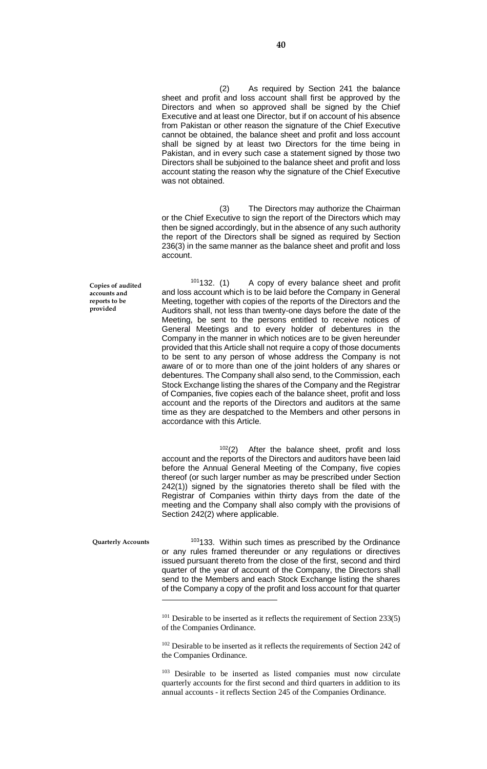(2) As required by Section 241 the balance sheet and profit and loss account shall first be approved by the Directors and when so approved shall be signed by the Chief Executive and at least one Director, but if on account of his absence from Pakistan or other reason the signature of the Chief Executive cannot be obtained, the balance sheet and profit and loss account shall be signed by at least two Directors for the time being in Pakistan, and in every such case a statement signed by those two Directors shall be subjoined to the balance sheet and profit and loss account stating the reason why the signature of the Chief Executive was not obtained.

(3) The Directors may authorize the Chairman or the Chief Executive to sign the report of the Directors which may then be signed accordingly, but in the absence of any such authority the report of the Directors shall be signed as required by Section 236(3) in the same manner as the balance sheet and profit and loss account.

 $101132$ . (1) A copy of every balance sheet and profit and loss account which is to be laid before the Company in General Meeting, together with copies of the reports of the Directors and the Auditors shall, not less than twenty-one days before the date of the Meeting, be sent to the persons entitled to receive notices of General Meetings and to every holder of debentures in the Company in the manner in which notices are to be given hereunder provided that this Article shall not require a copy of those documents to be sent to any person of whose address the Company is not aware of or to more than one of the joint holders of any shares or debentures. The Company shall also send, to the Commission, each Stock Exchange listing the shares of the Company and the Registrar of Companies, five copies each of the balance sheet, profit and loss account and the reports of the Directors and auditors at the same time as they are despatched to the Members and other persons in accordance with this Article.

 $102(2)$  After the balance sheet, profit and loss account and the reports of the Directors and auditors have been laid before the Annual General Meeting of the Company, five copies thereof (or such larger number as may be prescribed under Section 242(1)) signed by the signatories thereto shall be filed with the Registrar of Companies within thirty days from the date of the meeting and the Company shall also comply with the provisions of Section 242(2) where applicable.

**Quarterly Accounts**

 $\overline{a}$ 

<sup>103</sup>133. Within such times as prescribed by the Ordinance or any rules framed thereunder or any regulations or directives issued pursuant thereto from the close of the first, second and third quarter of the year of account of the Company, the Directors shall send to the Members and each Stock Exchange listing the shares of the Company a copy of the profit and loss account for that quarter

**Copies of audited accounts and reports to be provided**

 $101$  Desirable to be inserted as it reflects the requirement of Section 233(5) of the Companies Ordinance.

 $102$  Desirable to be inserted as it reflects the requirements of Section 242 of the Companies Ordinance.

<sup>&</sup>lt;sup>103</sup> Desirable to be inserted as listed companies must now circulate quarterly accounts for the first second and third quarters in addition to its annual accounts - it reflects Section 245 of the Companies Ordinance.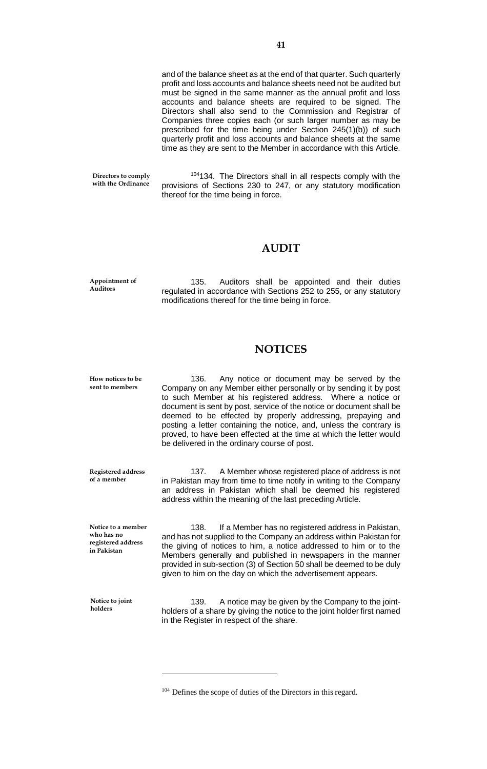and of the balance sheet as at the end of that quarter. Such quarterly profit and loss accounts and balance sheets need not be audited but must be signed in the same manner as the annual profit and loss accounts and balance sheets are required to be signed. The Directors shall also send to the Commission and Registrar of Companies three copies each (or such larger number as may be prescribed for the time being under Section 245(1)(b)) of such quarterly profit and loss accounts and balance sheets at the same time as they are sent to the Member in accordance with this Article.

**Directors to comply with the Ordinance**

<sup>104</sup>134. The Directors shall in all respects comply with the provisions of Sections 230 to 247, or any statutory modification thereof for the time being in force.

#### **AUDIT**

**Appointment of Auditors**

135. Auditors shall be appointed and their duties regulated in accordance with Sections 252 to 255, or any statutory modifications thereof for the time being in force.

## **NOTICES**

136. Any notice or document may be served by the Company on any Member either personally or by sending it by post to such Member at his registered address. Where a notice or document is sent by post, service of the notice or document shall be deemed to be effected by properly addressing, prepaying and posting a letter containing the notice, and, unless the contrary is proved, to have been effected at the time at which the letter would be delivered in the ordinary course of post. **How notices to be sent to members**

**Registered address of a member**

137. A Member whose registered place of address is not in Pakistan may from time to time notify in writing to the Company an address in Pakistan which shall be deemed his registered address within the meaning of the last preceding Article.

**Notice to a member who has no registered address in Pakistan**

138. If a Member has no registered address in Pakistan, and has not supplied to the Company an address within Pakistan for the giving of notices to him, a notice addressed to him or to the Members generally and published in newspapers in the manner provided in sub-section (3) of Section 50 shall be deemed to be duly given to him on the day on which the advertisement appears.

**Notice to joint holders**

 $\overline{a}$ 

139. A notice may be given by the Company to the jointholders of a share by giving the notice to the joint holder first named in the Register in respect of the share.

<sup>104</sup> Defines the scope of duties of the Directors in this regard.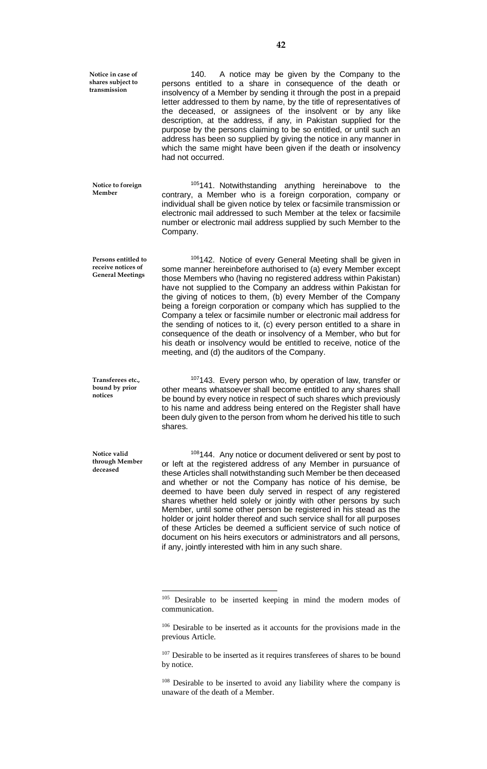**Notice in case of shares subject to transmission**

**Member** 

140. A notice may be given by the Company to the persons entitled to a share in consequence of the death or insolvency of a Member by sending it through the post in a prepaid letter addressed to them by name, by the title of representatives of the deceased, or assignees of the insolvent or by any like description, at the address, if any, in Pakistan supplied for the purpose by the persons claiming to be so entitled, or until such an address has been so supplied by giving the notice in any manner in which the same might have been given if the death or insolvency had not occurred.

<sup>105</sup>141. Notwithstanding anything hereinabove to the contrary, a Member who is a foreign corporation, company or individual shall be given notice by telex or facsimile transmission or electronic mail addressed to such Member at the telex or facsimile number or electronic mail address supplied by such Member to the Company. **Notice to foreign** 

106142. Notice of every General Meeting shall be given in some manner hereinbefore authorised to (a) every Member except those Members who (having no registered address within Pakistan) have not supplied to the Company an address within Pakistan for the giving of notices to them, (b) every Member of the Company being a foreign corporation or company which has supplied to the Company a telex or facsimile number or electronic mail address for the sending of notices to it, (c) every person entitled to a share in consequence of the death or insolvency of a Member, who but for his death or insolvency would be entitled to receive, notice of the meeting, and (d) the auditors of the Company. **Persons entitled to** 

**Transferees etc., bound by prior notices**

**Notice valid through Member deceased**

**receive notices of General Meetings**

 $\overline{a}$ 

<sup>107</sup>143. Every person who, by operation of law, transfer or other means whatsoever shall become entitled to any shares shall be bound by every notice in respect of such shares which previously to his name and address being entered on the Register shall have been duly given to the person from whom he derived his title to such shares.

<sup>108</sup>144. Any notice or document delivered or sent by post to or left at the registered address of any Member in pursuance of these Articles shall notwithstanding such Member be then deceased and whether or not the Company has notice of his demise, be deemed to have been duly served in respect of any registered shares whether held solely or jointly with other persons by such Member, until some other person be registered in his stead as the holder or joint holder thereof and such service shall for all purposes of these Articles be deemed a sufficient service of such notice of document on his heirs executors or administrators and all persons, if any, jointly interested with him in any such share.

<sup>&</sup>lt;sup>105</sup> Desirable to be inserted keeping in mind the modern modes of communication.

<sup>106</sup> Desirable to be inserted as it accounts for the provisions made in the previous Article.

<sup>&</sup>lt;sup>107</sup> Desirable to be inserted as it requires transferees of shares to be bound by notice.

 $108$  Desirable to be inserted to avoid any liability where the company is unaware of the death of a Member.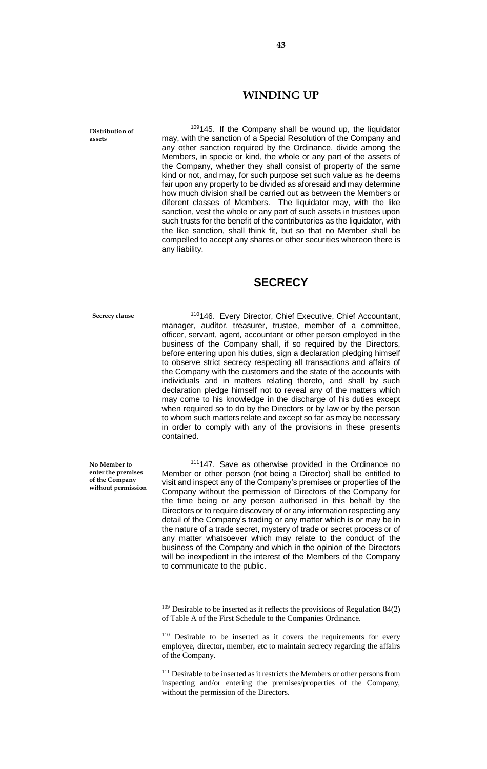#### **WINDING UP**

**Distribution of assets**

109145. If the Company shall be wound up, the liquidator may, with the sanction of a Special Resolution of the Company and any other sanction required by the Ordinance, divide among the Members, in specie or kind, the whole or any part of the assets of the Company, whether they shall consist of property of the same kind or not, and may, for such purpose set such value as he deems fair upon any property to be divided as aforesaid and may determine how much division shall be carried out as between the Members or diferent classes of Members. The liquidator may, with the like sanction, vest the whole or any part of such assets in trustees upon such trusts for the benefit of the contributories as the liquidator, with the like sanction, shall think fit, but so that no Member shall be compelled to accept any shares or other securities whereon there is any liability.

## **SECRECY**

**Secrecy clause**

<sup>110</sup>146. Every Director, Chief Executive, Chief Accountant, manager, auditor, treasurer, trustee, member of a committee, officer, servant, agent, accountant or other person employed in the business of the Company shall, if so required by the Directors, before entering upon his duties, sign a declaration pledging himself to observe strict secrecy respecting all transactions and affairs of the Company with the customers and the state of the accounts with individuals and in matters relating thereto, and shall by such declaration pledge himself not to reveal any of the matters which may come to his knowledge in the discharge of his duties except when required so to do by the Directors or by law or by the person to whom such matters relate and except so far as may be necessary in order to comply with any of the provisions in these presents contained.

**No Member to enter the premises of the Company without permission**

 $\overline{a}$ 

<sup>111</sup>147. Save as otherwise provided in the Ordinance no Member or other person (not being a Director) shall be entitled to visit and inspect any of the Company's premises or properties of the Company without the permission of Directors of the Company for the time being or any person authorised in this behalf by the Directors or to require discovery of or any information respecting any detail of the Company's trading or any matter which is or may be in the nature of a trade secret, mystery of trade or secret process or of any matter whatsoever which may relate to the conduct of the business of the Company and which in the opinion of the Directors will be inexpedient in the interest of the Members of the Company to communicate to the public.

<sup>&</sup>lt;sup>109</sup> Desirable to be inserted as it reflects the provisions of Regulation 84(2) of Table A of the First Schedule to the Companies Ordinance.

<sup>&</sup>lt;sup>110</sup> Desirable to be inserted as it covers the requirements for every employee, director, member, etc to maintain secrecy regarding the affairs of the Company.

<sup>&</sup>lt;sup>111</sup> Desirable to be inserted as it restricts the Members or other persons from inspecting and/or entering the premises/properties of the Company, without the permission of the Directors.